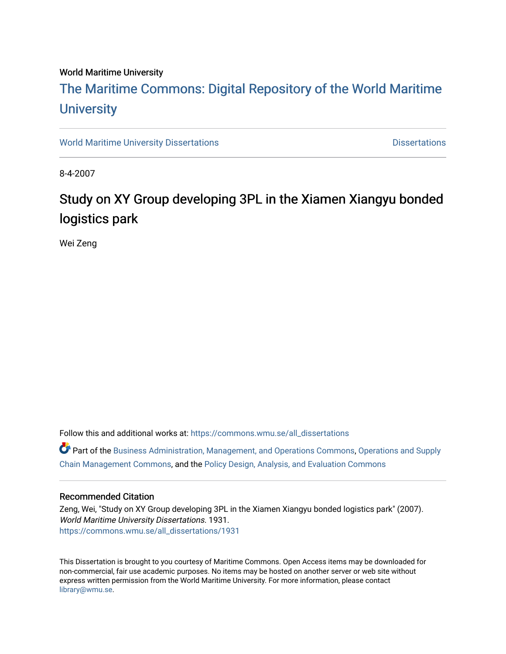#### World Maritime University

# [The Maritime Commons: Digital Repository of the World Maritime](https://commons.wmu.se/)  **University**

[World Maritime University Dissertations](https://commons.wmu.se/all_dissertations) **Distributions** [Dissertations](https://commons.wmu.se/dissertations) Dissertations

8-4-2007

# Study on XY Group developing 3PL in the Xiamen Xiangyu bonded logistics park

Wei Zeng

Follow this and additional works at: [https://commons.wmu.se/all\\_dissertations](https://commons.wmu.se/all_dissertations?utm_source=commons.wmu.se%2Fall_dissertations%2F1931&utm_medium=PDF&utm_campaign=PDFCoverPages) 

Part of the [Business Administration, Management, and Operations Commons](http://network.bepress.com/hgg/discipline/623?utm_source=commons.wmu.se%2Fall_dissertations%2F1931&utm_medium=PDF&utm_campaign=PDFCoverPages), [Operations and Supply](http://network.bepress.com/hgg/discipline/1229?utm_source=commons.wmu.se%2Fall_dissertations%2F1931&utm_medium=PDF&utm_campaign=PDFCoverPages)  [Chain Management Commons](http://network.bepress.com/hgg/discipline/1229?utm_source=commons.wmu.se%2Fall_dissertations%2F1931&utm_medium=PDF&utm_campaign=PDFCoverPages), and the [Policy Design, Analysis, and Evaluation Commons](http://network.bepress.com/hgg/discipline/1032?utm_source=commons.wmu.se%2Fall_dissertations%2F1931&utm_medium=PDF&utm_campaign=PDFCoverPages)

#### Recommended Citation

Zeng, Wei, "Study on XY Group developing 3PL in the Xiamen Xiangyu bonded logistics park" (2007). World Maritime University Dissertations. 1931. [https://commons.wmu.se/all\\_dissertations/1931](https://commons.wmu.se/all_dissertations/1931?utm_source=commons.wmu.se%2Fall_dissertations%2F1931&utm_medium=PDF&utm_campaign=PDFCoverPages)

This Dissertation is brought to you courtesy of Maritime Commons. Open Access items may be downloaded for non-commercial, fair use academic purposes. No items may be hosted on another server or web site without express written permission from the World Maritime University. For more information, please contact [library@wmu.se](mailto:library@wmu.edu).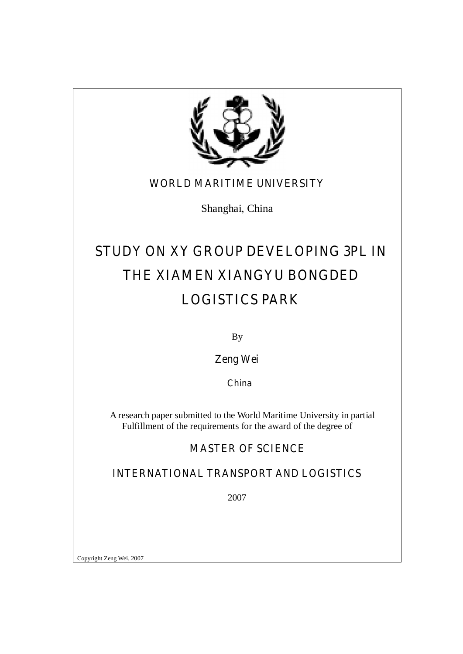

### **WORLD MARITIME UNIVERSITY**

Shanghai, China

# **STUDY ON XY GROUP DEVELOPING 3PL IN THE XIAMEN XIANGYU BONGDED LOGISTICS PARK**

By

**Zeng Wei** 

 **China** 

A research paper submitted to the World Maritime University in partial Fulfillment of the requirements for the award of the degree of

### **MASTER OF SCIENCE**

### **INTERNATIONAL TRANSPORT AND LOGISTICS**

2007

Copyright Zeng Wei, 2007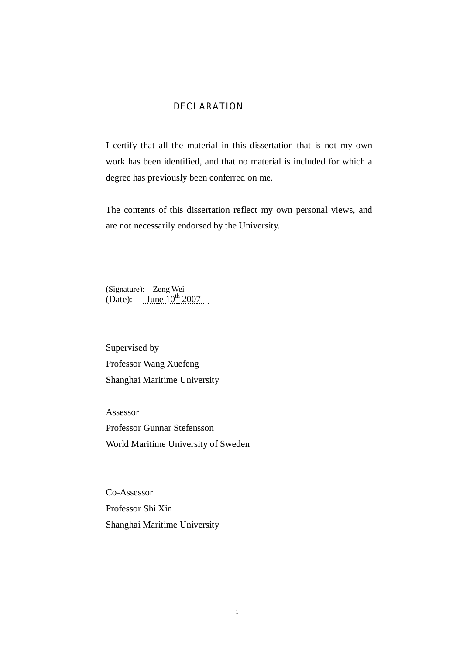#### **DECLARATION**

I certify that all the material in this dissertation that is not my own work has been identified, and that no material is included for which a degree has previously been conferred on me.

The contents of this dissertation reflect my own personal views, and are not necessarily endorsed by the University.

(Signature): Zeng Wei (Date): June  $10^{th}$  2007

Supervised by Professor Wang Xuefeng Shanghai Maritime University

Assessor Professor Gunnar Stefensson World Maritime University of Sweden

Co-Assessor Professor Shi Xin Shanghai Maritime University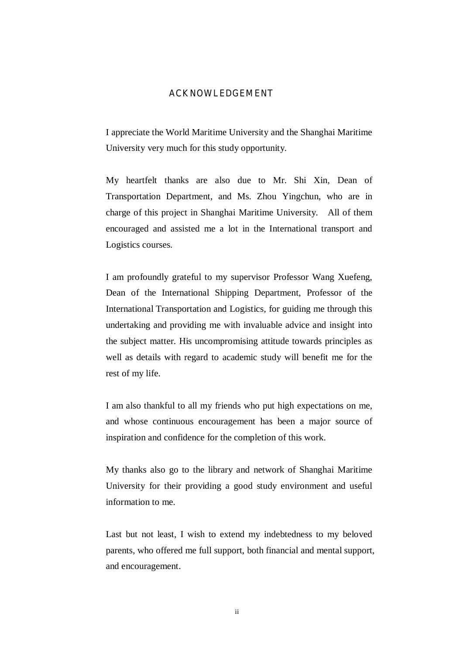#### **ACKNOWLEDGEMENT**

I appreciate the World Maritime University and the Shanghai Maritime University very much for this study opportunity.

My heartfelt thanks are also due to Mr. Shi Xin, Dean of Transportation Department, and Ms. Zhou Yingchun, who are in charge of this project in Shanghai Maritime University. All of them encouraged and assisted me a lot in the International transport and Logistics courses.

I am profoundly grateful to my supervisor Professor Wang Xuefeng, Dean of the International Shipping Department, Professor of the International Transportation and Logistics, for guiding me through this undertaking and providing me with invaluable advice and insight into the subject matter. His uncompromising attitude towards principles as well as details with regard to academic study will benefit me for the rest of my life.

I am also thankful to all my friends who put high expectations on me, and whose continuous encouragement has been a major source of inspiration and confidence for the completion of this work.

My thanks also go to the library and network of Shanghai Maritime University for their providing a good study environment and useful information to me.

Last but not least, I wish to extend my indebtedness to my beloved parents, who offered me full support, both financial and mental support, and encouragement.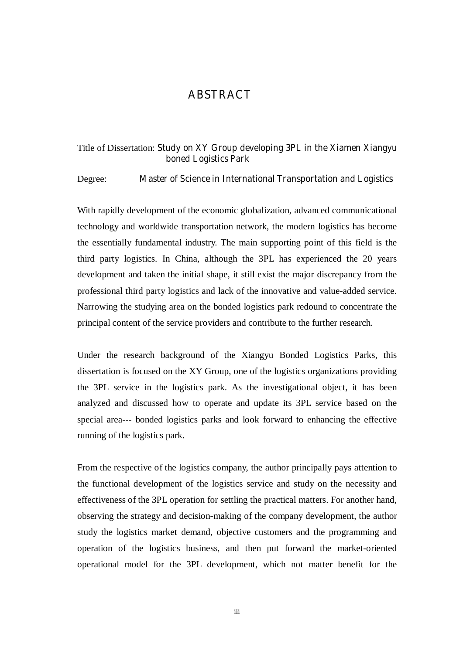### **ABSTRACT**

#### Title of Dissertation: **Study on XY Group developing 3PL in the Xiamen Xiangyu boned Logistics Park**

#### Degree: **Master of Science in International Transportation and Logistics**

With rapidly development of the economic globalization, advanced communicational technology and worldwide transportation network, the modern logistics has become the essentially fundamental industry. The main supporting point of this field is the third party logistics. In China, although the 3PL has experienced the 20 years development and taken the initial shape, it still exist the major discrepancy from the professional third party logistics and lack of the innovative and value-added service. Narrowing the studying area on the bonded logistics park redound to concentrate the principal content of the service providers and contribute to the further research.

Under the research background of the Xiangyu Bonded Logistics Parks, this dissertation is focused on the XY Group, one of the logistics organizations providing the 3PL service in the logistics park. As the investigational object, it has been analyzed and discussed how to operate and update its 3PL service based on the special area--- bonded logistics parks and look forward to enhancing the effective running of the logistics park.

From the respective of the logistics company, the author principally pays attention to the functional development of the logistics service and study on the necessity and effectiveness of the 3PL operation for settling the practical matters. For another hand, observing the strategy and decision-making of the company development, the author study the logistics market demand, objective customers and the programming and operation of the logistics business, and then put forward the market-oriented operational model for the 3PL development, which not matter benefit for the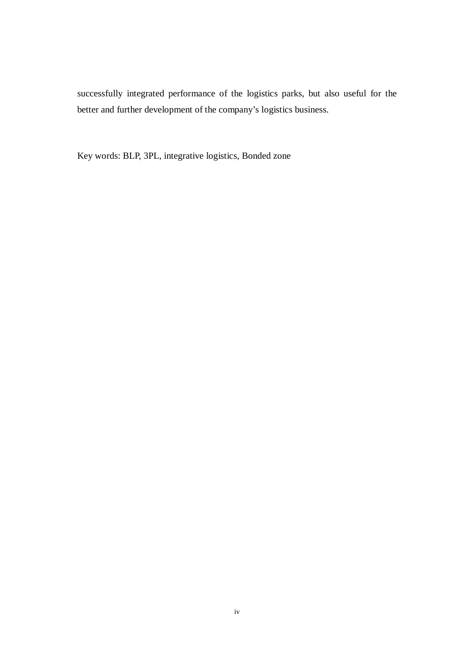successfully integrated performance of the logistics parks, but also useful for the better and further development of the company's logistics business.

Key words: BLP, 3PL, integrative logistics, Bonded zone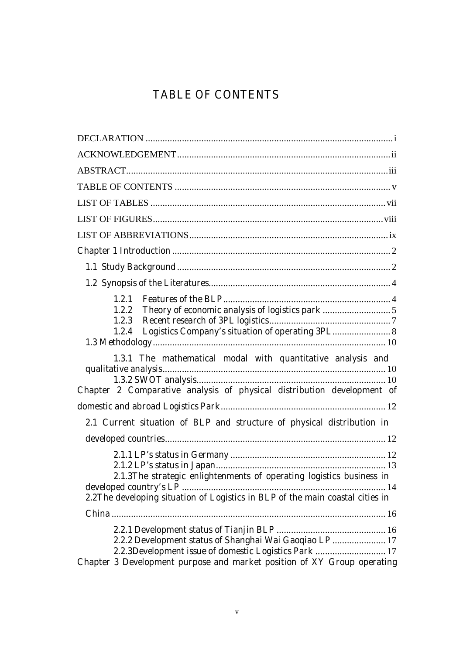## **TABLE OF CONTENTS**

| 1.2.2                                                                         |  |
|-------------------------------------------------------------------------------|--|
|                                                                               |  |
| Logistics Company's situation of operating 3PL 8<br>1.2.4                     |  |
| 1.3.1 The mathematical modal with quantitative analysis and                   |  |
|                                                                               |  |
|                                                                               |  |
| Chapter 2 Comparative analysis of physical distribution development of        |  |
|                                                                               |  |
| 2.1 Current situation of BLP and structure of physical distribution in        |  |
|                                                                               |  |
|                                                                               |  |
|                                                                               |  |
| 2.1.3The strategic enlightenments of operating logistics business in          |  |
|                                                                               |  |
| 2.2The developing situation of Logistics in BLP of the main coastal cities in |  |
|                                                                               |  |
|                                                                               |  |
| 2.2.2 Development status of Shanghai Wai Gaoqiao LP  17                       |  |
| 2.2.3Development issue of domestic Logistics Park  17                         |  |
| Chapter 3 Development purpose and market position of XY Group operating       |  |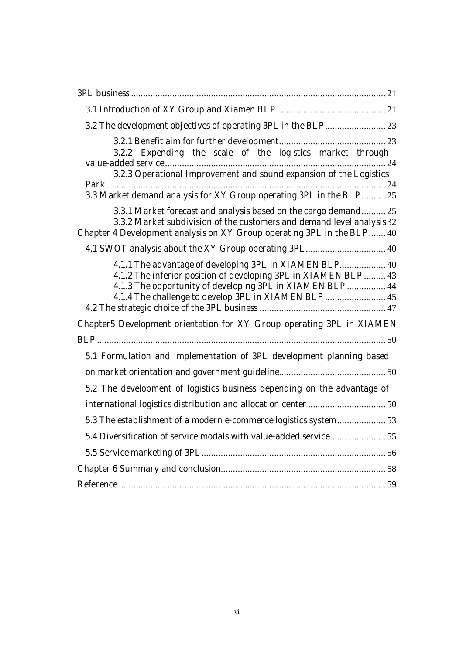| 3.2.2 Expending the scale of the logistics market through                                                                                                                                                           |  |
|---------------------------------------------------------------------------------------------------------------------------------------------------------------------------------------------------------------------|--|
| 3.2.3 Operational Improvement and sound expansion of the Logistics                                                                                                                                                  |  |
| 3.3 Market demand analysis for XY Group operating 3PL in the BLP 25                                                                                                                                                 |  |
| 3.3.1 Market forecast and analysis based on the cargo demand 25<br>3.3.2 Market subdivision of the customers and demand level analysis 32<br>Chapter 4 Development analysis on XY Group operating 3PL in the BLP 40 |  |
|                                                                                                                                                                                                                     |  |
| 4.1.1 The advantage of developing 3PL in XIAMEN BLP 40<br>4.1.2 The inferior position of developing 3PL in XIAMEN BLP  43<br>4.1.3 The opportunity of developing 3PL in XIAMEN BLP  44                              |  |
| Chapter5 Development orientation for XY Group operating 3PL in XIAMEN                                                                                                                                               |  |
|                                                                                                                                                                                                                     |  |
| 5.1 Formulation and implementation of 3PL development planning based                                                                                                                                                |  |
|                                                                                                                                                                                                                     |  |
| 5.2 The development of logistics business depending on the advantage of                                                                                                                                             |  |
|                                                                                                                                                                                                                     |  |
|                                                                                                                                                                                                                     |  |
|                                                                                                                                                                                                                     |  |
|                                                                                                                                                                                                                     |  |
|                                                                                                                                                                                                                     |  |
|                                                                                                                                                                                                                     |  |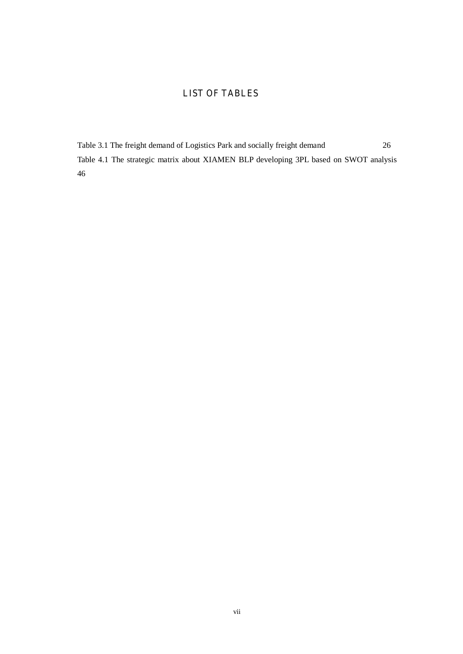### **LIST OF TABLES**

Table 3.1 The freight demand of Logistics Park and socially freight demand 26 Table 4.1 The strategic matrix about XIAMEN BLP developing 3PL based on SWOT analysis 46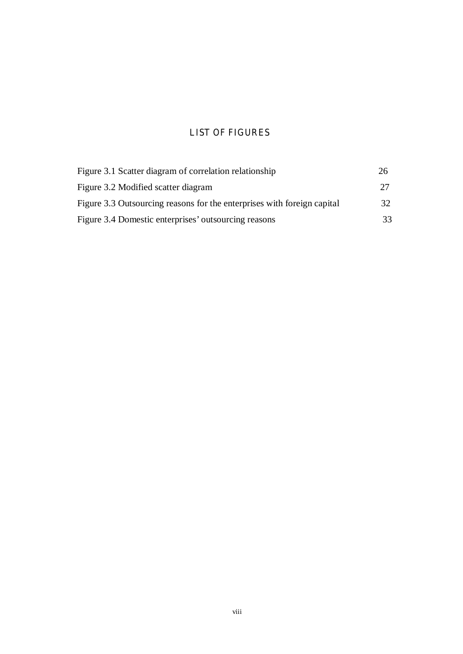### **LIST OF FIGURES**

| Figure 3.1 Scatter diagram of correlation relationship                  | 26 |
|-------------------------------------------------------------------------|----|
| Figure 3.2 Modified scatter diagram                                     | 27 |
| Figure 3.3 Outsourcing reasons for the enterprises with foreign capital | 32 |
| Figure 3.4 Domestic enterprises' outsourcing reasons                    | 33 |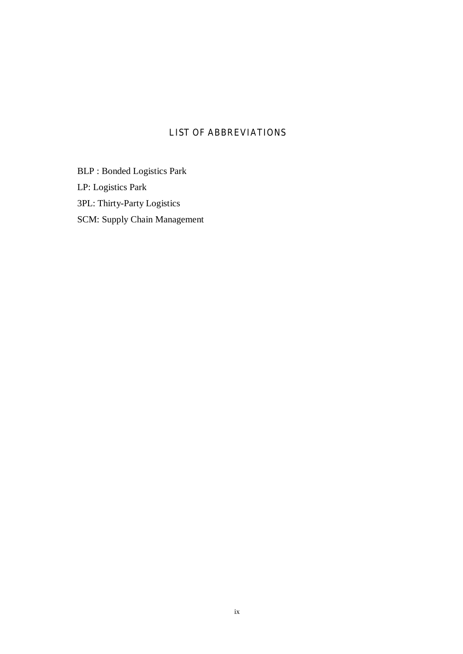### **LIST OF ABBREVIATIONS**

BLP : Bonded Logistics Park LP: Logistics Park 3PL: Thirty-Party Logistics

SCM: Supply Chain Management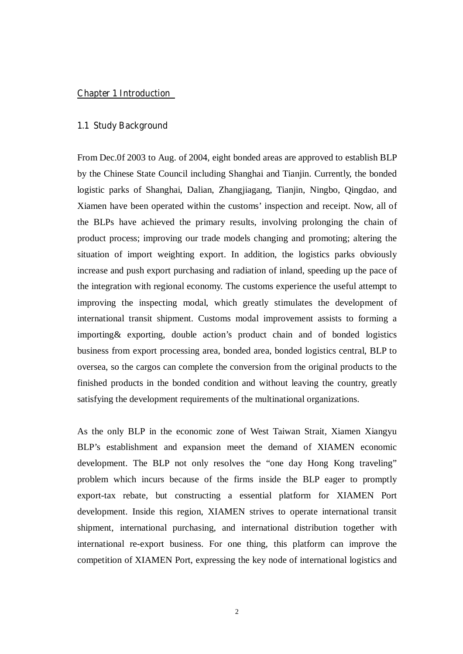#### **Chapter 1 Introduction**

#### **1.1 Study Background**

From Dec.0f 2003 to Aug. of 2004, eight bonded areas are approved to establish BLP by the Chinese State Council including Shanghai and Tianjin. Currently, the bonded logistic parks of Shanghai, Dalian, Zhangjiagang, Tianjin, Ningbo, Qingdao, and Xiamen have been operated within the customs' inspection and receipt. Now, all of the BLPs have achieved the primary results, involving prolonging the chain of product process; improving our trade models changing and promoting; altering the situation of import weighting export. In addition, the logistics parks obviously increase and push export purchasing and radiation of inland, speeding up the pace of the integration with regional economy. The customs experience the useful attempt to improving the inspecting modal, which greatly stimulates the development of international transit shipment. Customs modal improvement assists to forming a importing& exporting, double action's product chain and of bonded logistics business from export processing area, bonded area, bonded logistics central, BLP to oversea, so the cargos can complete the conversion from the original products to the finished products in the bonded condition and without leaving the country, greatly satisfying the development requirements of the multinational organizations.

As the only BLP in the economic zone of West Taiwan Strait, Xiamen Xiangyu BLP's establishment and expansion meet the demand of XIAMEN economic development. The BLP not only resolves the "one day Hong Kong traveling" problem which incurs because of the firms inside the BLP eager to promptly export-tax rebate, but constructing a essential platform for XIAMEN Port development. Inside this region, XIAMEN strives to operate international transit shipment, international purchasing, and international distribution together with international re-export business. For one thing, this platform can improve the competition of XIAMEN Port, expressing the key node of international logistics and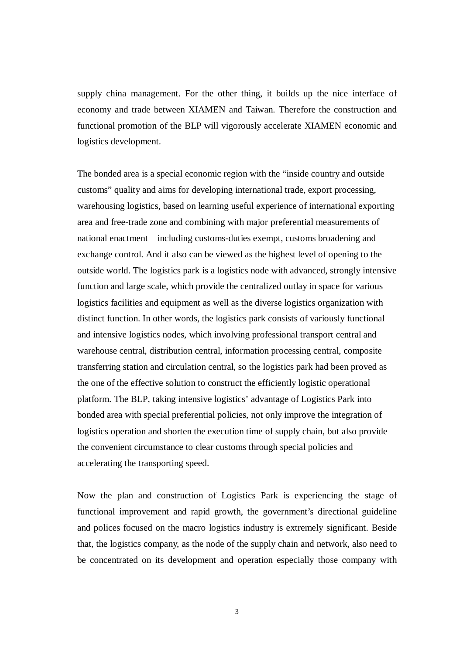supply china management. For the other thing, it builds up the nice interface of economy and trade between XIAMEN and Taiwan. Therefore the construction and functional promotion of the BLP will vigorously accelerate XIAMEN economic and logistics development.

The bonded area is a special economic region with the "inside country and outside customs" quality and aims for developing international trade, export processing, warehousing logistics, based on learning useful experience of international exporting area and free-trade zone and combining with major preferential measurements of national enactment including customs-duties exempt, customs broadening and exchange control. And it also can be viewed as the highest level of opening to the outside world. The logistics park is a logistics node with advanced, strongly intensive function and large scale, which provide the centralized outlay in space for various logistics facilities and equipment as well as the diverse logistics organization with distinct function. In other words, the logistics park consists of variously functional and intensive logistics nodes, which involving professional transport central and warehouse central, distribution central, information processing central, composite transferring station and circulation central, so the logistics park had been proved as the one of the effective solution to construct the efficiently logistic operational platform. The BLP, taking intensive logistics' advantage of Logistics Park into bonded area with special preferential policies, not only improve the integration of logistics operation and shorten the execution time of supply chain, but also provide the convenient circumstance to clear customs through special policies and accelerating the transporting speed.

Now the plan and construction of Logistics Park is experiencing the stage of functional improvement and rapid growth, the government's directional guideline and polices focused on the macro logistics industry is extremely significant. Beside that, the logistics company, as the node of the supply chain and network, also need to be concentrated on its development and operation especially those company with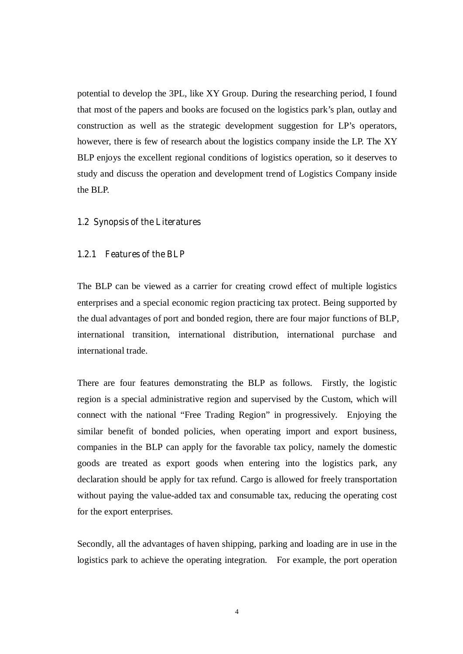potential to develop the 3PL, like XY Group. During the researching period, I found that most of the papers and books are focused on the logistics park's plan, outlay and construction as well as the strategic development suggestion for LP's operators, however, there is few of research about the logistics company inside the LP. The XY BLP enjoys the excellent regional conditions of logistics operation, so it deserves to study and discuss the operation and development trend of Logistics Company inside the BLP.

#### **1.2 Synopsis of the Literatures**

#### **1.2.1 Features of the BLP**

The BLP can be viewed as a carrier for creating crowd effect of multiple logistics enterprises and a special economic region practicing tax protect. Being supported by the dual advantages of port and bonded region, there are four major functions of BLP, international transition, international distribution, international purchase and international trade.

There are four features demonstrating the BLP as follows. Firstly, the logistic region is a special administrative region and supervised by the Custom, which will connect with the national "Free Trading Region" in progressively. Enjoying the similar benefit of bonded policies, when operating import and export business, companies in the BLP can apply for the favorable tax policy, namely the domestic goods are treated as export goods when entering into the logistics park, any declaration should be apply for tax refund. Cargo is allowed for freely transportation without paying the value-added tax and consumable tax, reducing the operating cost for the export enterprises.

Secondly, all the advantages of haven shipping, parking and loading are in use in the logistics park to achieve the operating integration. For example, the port operation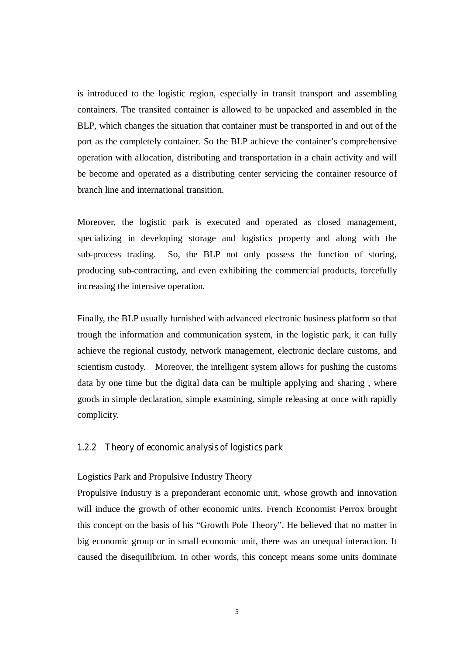is introduced to the logistic region, especially in transit transport and assembling containers. The transited container is allowed to be unpacked and assembled in the BLP, which changes the situation that container must be transported in and out of the port as the completely container. So the BLP achieve the container's comprehensive operation with allocation, distributing and transportation in a chain activity and will be become and operated as a distributing center servicing the container resource of branch line and international transition.

Moreover, the logistic park is executed and operated as closed management, specializing in developing storage and logistics property and along with the sub-process trading. So, the BLP not only possess the function of storing, producing sub-contracting, and even exhibiting the commercial products, forcefully increasing the intensive operation.

Finally, the BLP usually furnished with advanced electronic business platform so that trough the information and communication system, in the logistic park, it can fully achieve the regional custody, network management, electronic declare customs, and scientism custody. Moreover, the intelligent system allows for pushing the customs data by one time but the digital data can be multiple applying and sharing , where goods in simple declaration, simple examining, simple releasing at once with rapidly complicity.

#### **1.2.2 Theory of economic analysis of logistics park**

#### Logistics Park and Propulsive Industry Theory

Propulsive Industry is a preponderant economic unit, whose growth and innovation will induce the growth of other economic units. French Economist Perrox brought this concept on the basis of his "Growth Pole Theory". He believed that no matter in big economic group or in small economic unit, there was an unequal interaction. It caused the disequilibrium. In other words, this concept means some units dominate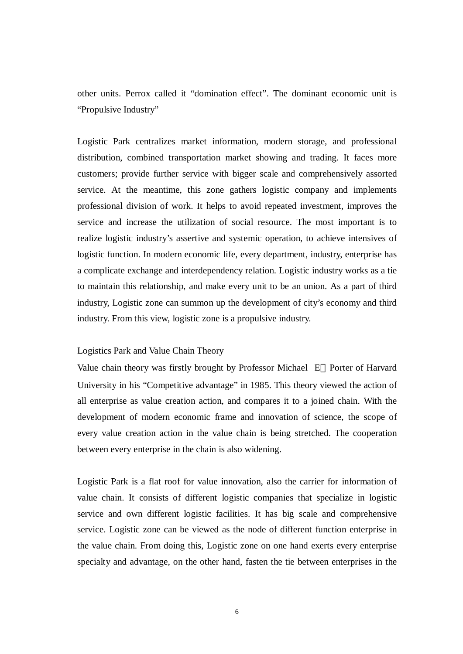other units. Perrox called it "domination effect". The dominant economic unit is "Propulsive Industry"

Logistic Park centralizes market information, modern storage, and professional distribution, combined transportation market showing and trading. It faces more customers; provide further service with bigger scale and comprehensively assorted service. At the meantime, this zone gathers logistic company and implements professional division of work. It helps to avoid repeated investment, improves the service and increase the utilization of social resource. The most important is to realize logistic industry's assertive and systemic operation, to achieve intensives of logistic function. In modern economic life, every department, industry, enterprise has a complicate exchange and interdependency relation. Logistic industry works as a tie to maintain this relationship, and make every unit to be an union. As a part of third industry, Logistic zone can summon up the development of city's economy and third industry. From this view, logistic zone is a propulsive industry.

#### Logistics Park and Value Chain Theory

Value chain theory was firstly brought by Professor Michael E Porter of Harvard University in his "Competitive advantage" in 1985. This theory viewed the action of all enterprise as value creation action, and compares it to a joined chain. With the development of modern economic frame and innovation of science, the scope of every value creation action in the value chain is being stretched. The cooperation between every enterprise in the chain is also widening.

Logistic Park is a flat roof for value innovation, also the carrier for information of value chain. It consists of different logistic companies that specialize in logistic service and own different logistic facilities. It has big scale and comprehensive service. Logistic zone can be viewed as the node of different function enterprise in the value chain. From doing this, Logistic zone on one hand exerts every enterprise specialty and advantage, on the other hand, fasten the tie between enterprises in the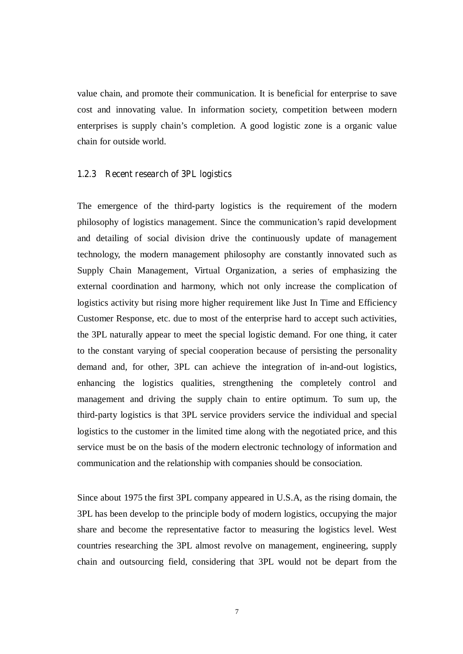value chain, and promote their communication. It is beneficial for enterprise to save cost and innovating value. In information society, competition between modern enterprises is supply chain's completion. A good logistic zone is a organic value chain for outside world.

#### **1.2.3 Recent research of 3PL logistics**

The emergence of the third-party logistics is the requirement of the modern philosophy of logistics management. Since the communication's rapid development and detailing of social division drive the continuously update of management technology, the modern management philosophy are constantly innovated such as Supply Chain Management, Virtual Organization, a series of emphasizing the external coordination and harmony, which not only increase the complication of logistics activity but rising more higher requirement like Just In Time and Efficiency Customer Response, etc. due to most of the enterprise hard to accept such activities, the 3PL naturally appear to meet the special logistic demand. For one thing, it cater to the constant varying of special cooperation because of persisting the personality demand and, for other, 3PL can achieve the integration of in-and-out logistics, enhancing the logistics qualities, strengthening the completely control and management and driving the supply chain to entire optimum. To sum up, the third-party logistics is that 3PL service providers service the individual and special logistics to the customer in the limited time along with the negotiated price, and this service must be on the basis of the modern electronic technology of information and communication and the relationship with companies should be consociation.

Since about 1975 the first 3PL company appeared in U.S.A, as the rising domain, the 3PL has been develop to the principle body of modern logistics, occupying the major share and become the representative factor to measuring the logistics level. West countries researching the 3PL almost revolve on management, engineering, supply chain and outsourcing field, considering that 3PL would not be depart from the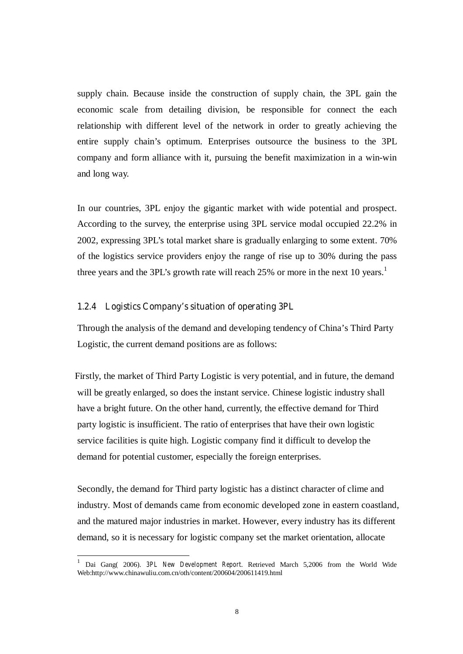supply chain. Because inside the construction of supply chain, the 3PL gain the economic scale from detailing division, be responsible for connect the each relationship with different level of the network in order to greatly achieving the entire supply chain's optimum. Enterprises outsource the business to the 3PL company and form alliance with it, pursuing the benefit maximization in a win-win and long way.

In our countries, 3PL enjoy the gigantic market with wide potential and prospect. According to the survey, the enterprise using 3PL service modal occupied 22.2% in 2002, expressing 3PL's total market share is gradually enlarging to some extent. 70% of the logistics service providers enjoy the range of rise up to 30% during the pass three years and the 3PL's growth rate will reach  $25\%$  or more in the next 10 years.<sup>1</sup>

#### **1.2.4 Logistics Company's situation of operating 3PL**

-

Through the analysis of the demand and developing tendency of China's Third Party Logistic, the current demand positions are as follows:

 Firstly, the market of Third Party Logistic is very potential, and in future, the demand will be greatly enlarged, so does the instant service. Chinese logistic industry shall have a bright future. On the other hand, currently, the effective demand for Third party logistic is insufficient. The ratio of enterprises that have their own logistic service facilities is quite high. Logistic company find it difficult to develop the demand for potential customer, especially the foreign enterprises.

Secondly, the demand for Third party logistic has a distinct character of clime and industry. Most of demands came from economic developed zone in eastern coastland, and the matured major industries in market. However, every industry has its different demand, so it is necessary for logistic company set the market orientation, allocate

<sup>1</sup> Dai Gang( 2006). *3PL New Development Report*. Retrieved March 5,2006 from the World Wide Web:http://www.chinawuliu.com.cn/oth/content/200604/200611419.html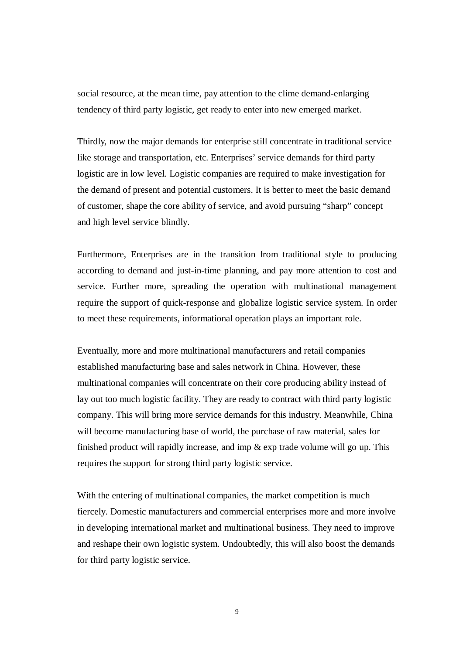social resource, at the mean time, pay attention to the clime demand-enlarging tendency of third party logistic, get ready to enter into new emerged market.

Thirdly, now the major demands for enterprise still concentrate in traditional service like storage and transportation, etc. Enterprises' service demands for third party logistic are in low level. Logistic companies are required to make investigation for the demand of present and potential customers. It is better to meet the basic demand of customer, shape the core ability of service, and avoid pursuing "sharp" concept and high level service blindly.

Furthermore, Enterprises are in the transition from traditional style to producing according to demand and just-in-time planning, and pay more attention to cost and service. Further more, spreading the operation with multinational management require the support of quick-response and globalize logistic service system. In order to meet these requirements, informational operation plays an important role.

Eventually, more and more multinational manufacturers and retail companies established manufacturing base and sales network in China. However, these multinational companies will concentrate on their core producing ability instead of lay out too much logistic facility. They are ready to contract with third party logistic company. This will bring more service demands for this industry. Meanwhile, China will become manufacturing base of world, the purchase of raw material, sales for finished product will rapidly increase, and imp & exp trade volume will go up. This requires the support for strong third party logistic service.

With the entering of multinational companies, the market competition is much fiercely. Domestic manufacturers and commercial enterprises more and more involve in developing international market and multinational business. They need to improve and reshape their own logistic system. Undoubtedly, this will also boost the demands for third party logistic service.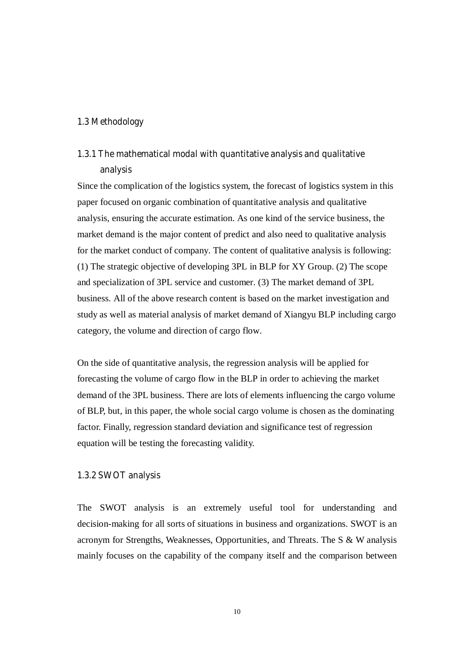#### **1.3 Methodology**

### **1.3.1 The mathematical modal with quantitative analysis and qualitative analysis**

Since the complication of the logistics system, the forecast of logistics system in this paper focused on organic combination of quantitative analysis and qualitative analysis, ensuring the accurate estimation. As one kind of the service business, the market demand is the major content of predict and also need to qualitative analysis for the market conduct of company. The content of qualitative analysis is following: (1) The strategic objective of developing 3PL in BLP for XY Group. (2) The scope and specialization of 3PL service and customer. (3) The market demand of 3PL business. All of the above research content is based on the market investigation and study as well as material analysis of market demand of Xiangyu BLP including cargo category, the volume and direction of cargo flow.

On the side of quantitative analysis, the regression analysis will be applied for forecasting the volume of cargo flow in the BLP in order to achieving the market demand of the 3PL business. There are lots of elements influencing the cargo volume of BLP, but, in this paper, the whole social cargo volume is chosen as the dominating factor. Finally, regression standard deviation and significance test of regression equation will be testing the forecasting validity.

#### **1.3.2 SWOT analysis**

The SWOT analysis is an extremely useful tool for understanding and decision-making for all sorts of situations in business and organizations. SWOT is an acronym for Strengths, Weaknesses, Opportunities, and Threats. The S & W analysis mainly focuses on the capability of the company itself and the comparison between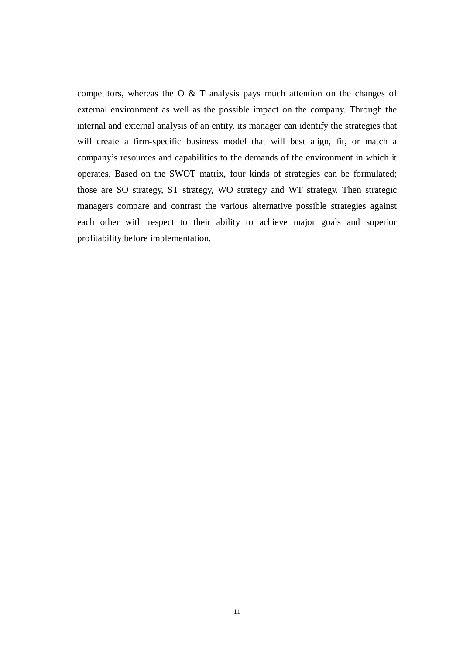competitors, whereas the O  $&$  T analysis pays much attention on the changes of external environment as well as the possible impact on the company. Through the internal and external analysis of an entity, its manager can identify the strategies that will create a firm-specific business model that will best align, fit, or match a company's resources and capabilities to the demands of the environment in which it operates. Based on the SWOT matrix, four kinds of strategies can be formulated; those are SO strategy, ST strategy, WO strategy and WT strategy. Then strategic managers compare and contrast the various alternative possible strategies against each other with respect to their ability to achieve major goals and superior profitability before implementation.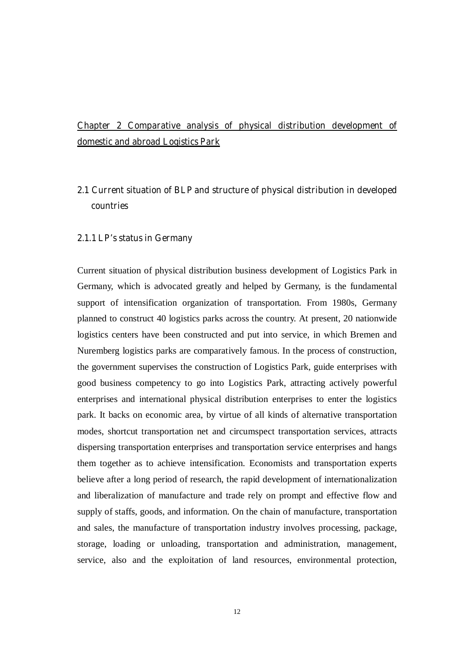### **Chapter 2 Comparative analysis of physical distribution development of domestic and abroad Logistics Park**

### **2.1 Current situation of BLP and structure of physical distribution in developed countries**

#### **2.1.1 LP's status in Germany**

Current situation of physical distribution business development of Logistics Park in Germany, which is advocated greatly and helped by Germany, is the fundamental support of intensification organization of transportation. From 1980s, Germany planned to construct 40 logistics parks across the country. At present, 20 nationwide logistics centers have been constructed and put into service, in which Bremen and Nuremberg logistics parks are comparatively famous. In the process of construction, the government supervises the construction of Logistics Park, guide enterprises with good business competency to go into Logistics Park, attracting actively powerful enterprises and international physical distribution enterprises to enter the logistics park. It backs on economic area, by virtue of all kinds of alternative transportation modes, shortcut transportation net and circumspect transportation services, attracts dispersing transportation enterprises and transportation service enterprises and hangs them together as to achieve intensification. Economists and transportation experts believe after a long period of research, the rapid development of internationalization and liberalization of manufacture and trade rely on prompt and effective flow and supply of staffs, goods, and information. On the chain of manufacture, transportation and sales, the manufacture of transportation industry involves processing, package, storage, loading or unloading, transportation and administration, management, service, also and the exploitation of land resources, environmental protection,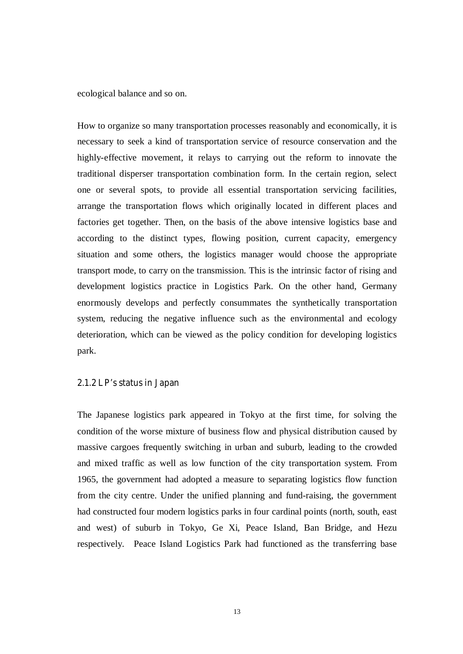ecological balance and so on.

How to organize so many transportation processes reasonably and economically, it is necessary to seek a kind of transportation service of resource conservation and the highly-effective movement, it relays to carrying out the reform to innovate the traditional disperser transportation combination form. In the certain region, select one or several spots, to provide all essential transportation servicing facilities, arrange the transportation flows which originally located in different places and factories get together. Then, on the basis of the above intensive logistics base and according to the distinct types, flowing position, current capacity, emergency situation and some others, the logistics manager would choose the appropriate transport mode, to carry on the transmission. This is the intrinsic factor of rising and development logistics practice in Logistics Park. On the other hand, Germany enormously develops and perfectly consummates the synthetically transportation system, reducing the negative influence such as the environmental and ecology deterioration, which can be viewed as the policy condition for developing logistics park.

#### **2.1.2 LP's status in Japan**

The Japanese logistics park appeared in Tokyo at the first time, for solving the condition of the worse mixture of business flow and physical distribution caused by massive cargoes frequently switching in urban and suburb, leading to the crowded and mixed traffic as well as low function of the city transportation system. From 1965, the government had adopted a measure to separating logistics flow function from the city centre. Under the unified planning and fund-raising, the government had constructed four modern logistics parks in four cardinal points (north, south, east and west) of suburb in Tokyo, Ge Xi, Peace Island, Ban Bridge, and Hezu respectively. Peace Island Logistics Park had functioned as the transferring base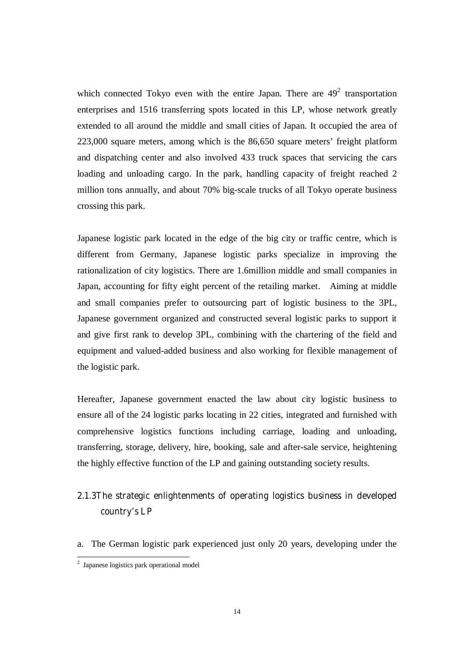which connected Tokyo even with the entire Japan. There are  $49<sup>2</sup>$  transportation enterprises and 1516 transferring spots located in this LP, whose network greatly extended to all around the middle and small cities of Japan. It occupied the area of 223,000 square meters, among which is the 86,650 square meters' freight platform and dispatching center and also involved 433 truck spaces that servicing the cars loading and unloading cargo. In the park, handling capacity of freight reached 2 million tons annually, and about 70% big-scale trucks of all Tokyo operate business crossing this park.

Japanese logistic park located in the edge of the big city or traffic centre, which is different from Germany, Japanese logistic parks specialize in improving the rationalization of city logistics. There are 1.6million middle and small companies in Japan, accounting for fifty eight percent of the retailing market. Aiming at middle and small companies prefer to outsourcing part of logistic business to the 3PL, Japanese government organized and constructed several logistic parks to support it and give first rank to develop 3PL, combining with the chartering of the field and equipment and valued-added business and also working for flexible management of the logistic park.

Hereafter, Japanese government enacted the law about city logistic business to ensure all of the 24 logistic parks locating in 22 cities, integrated and furnished with comprehensive logistics functions including carriage, loading and unloading, transferring, storage, delivery, hire, booking, sale and after-sale service, heightening the highly effective function of the LP and gaining outstanding society results.

### **2.1.3The strategic enlightenments of operating logistics business in developed country's LP**

a. The German logistic park experienced just only 20 years, developing under the

 2 Japanese logistics park operational model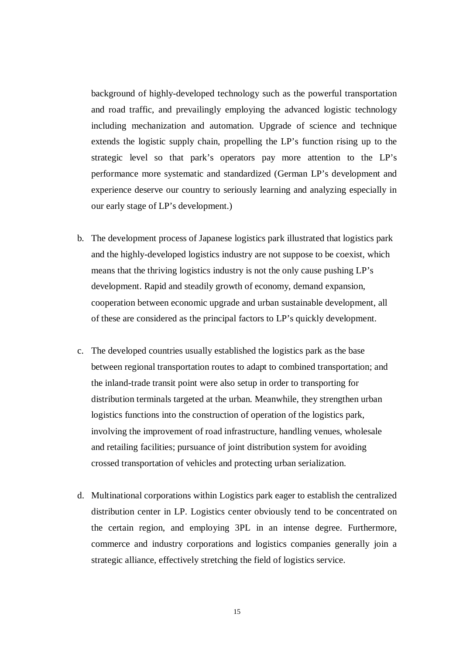background of highly-developed technology such as the powerful transportation and road traffic, and prevailingly employing the advanced logistic technology including mechanization and automation. Upgrade of science and technique extends the logistic supply chain, propelling the LP's function rising up to the strategic level so that park's operators pay more attention to the LP's performance more systematic and standardized (German LP's development and experience deserve our country to seriously learning and analyzing especially in our early stage of LP's development.)

- b. The development process of Japanese logistics park illustrated that logistics park and the highly-developed logistics industry are not suppose to be coexist, which means that the thriving logistics industry is not the only cause pushing LP's development. Rapid and steadily growth of economy, demand expansion, cooperation between economic upgrade and urban sustainable development, all of these are considered as the principal factors to LP's quickly development.
- c. The developed countries usually established the logistics park as the base between regional transportation routes to adapt to combined transportation; and the inland-trade transit point were also setup in order to transporting for distribution terminals targeted at the urban. Meanwhile, they strengthen urban logistics functions into the construction of operation of the logistics park, involving the improvement of road infrastructure, handling venues, wholesale and retailing facilities; pursuance of joint distribution system for avoiding crossed transportation of vehicles and protecting urban serialization.
- d. Multinational corporations within Logistics park eager to establish the centralized distribution center in LP. Logistics center obviously tend to be concentrated on the certain region, and employing 3PL in an intense degree. Furthermore, commerce and industry corporations and logistics companies generally join a strategic alliance, effectively stretching the field of logistics service.

15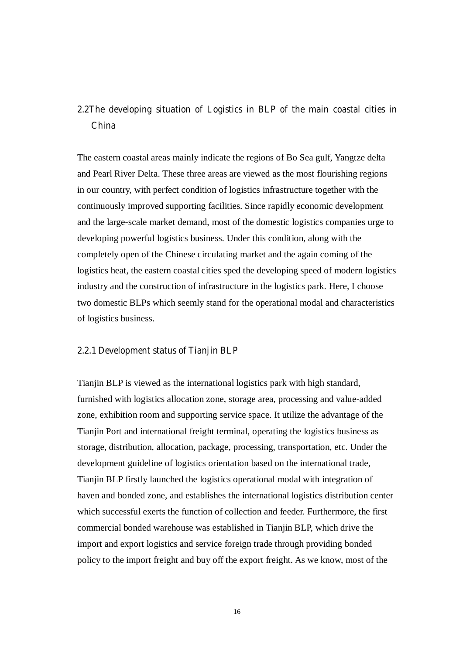### **2.2The developing situation of Logistics in BLP of the main coastal cities in China**

The eastern coastal areas mainly indicate the regions of Bo Sea gulf, Yangtze delta and Pearl River Delta. These three areas are viewed as the most flourishing regions in our country, with perfect condition of logistics infrastructure together with the continuously improved supporting facilities. Since rapidly economic development and the large-scale market demand, most of the domestic logistics companies urge to developing powerful logistics business. Under this condition, along with the completely open of the Chinese circulating market and the again coming of the logistics heat, the eastern coastal cities sped the developing speed of modern logistics industry and the construction of infrastructure in the logistics park. Here, I choose two domestic BLPs which seemly stand for the operational modal and characteristics of logistics business.

#### **2.2.1 Development status of Tianjin BLP**

Tianjin BLP is viewed as the international logistics park with high standard, furnished with logistics allocation zone, storage area, processing and value-added zone, exhibition room and supporting service space. It utilize the advantage of the Tianjin Port and international freight terminal, operating the logistics business as storage, distribution, allocation, package, processing, transportation, etc. Under the development guideline of logistics orientation based on the international trade, Tianjin BLP firstly launched the logistics operational modal with integration of haven and bonded zone, and establishes the international logistics distribution center which successful exerts the function of collection and feeder. Furthermore, the first commercial bonded warehouse was established in Tianjin BLP, which drive the import and export logistics and service foreign trade through providing bonded policy to the import freight and buy off the export freight. As we know, most of the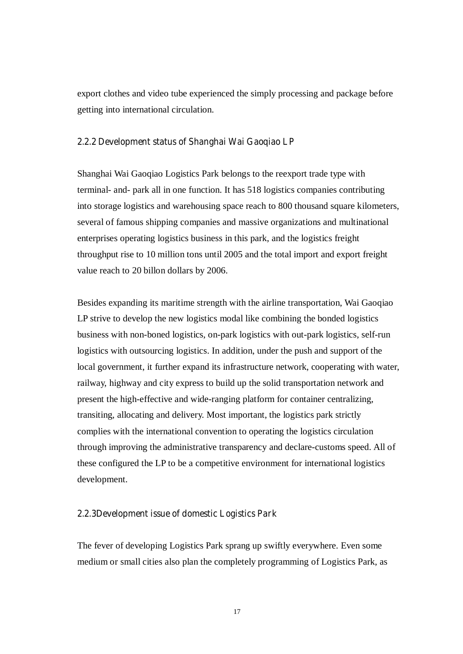export clothes and video tube experienced the simply processing and package before getting into international circulation.

#### **2.2.2 Development status of Shanghai Wai Gaoqiao LP**

Shanghai Wai Gaoqiao Logistics Park belongs to the reexport trade type with terminal- and- park all in one function. It has 518 logistics companies contributing into storage logistics and warehousing space reach to 800 thousand square kilometers, several of famous shipping companies and massive organizations and multinational enterprises operating logistics business in this park, and the logistics freight throughput rise to 10 million tons until 2005 and the total import and export freight value reach to 20 billon dollars by 2006.

Besides expanding its maritime strength with the airline transportation, Wai Gaoqiao LP strive to develop the new logistics modal like combining the bonded logistics business with non-boned logistics, on-park logistics with out-park logistics, self-run logistics with outsourcing logistics. In addition, under the push and support of the local government, it further expand its infrastructure network, cooperating with water, railway, highway and city express to build up the solid transportation network and present the high-effective and wide-ranging platform for container centralizing, transiting, allocating and delivery. Most important, the logistics park strictly complies with the international convention to operating the logistics circulation through improving the administrative transparency and declare-customs speed. All of these configured the LP to be a competitive environment for international logistics development.

#### **2.2.3Development issue of domestic Logistics Park**

The fever of developing Logistics Park sprang up swiftly everywhere. Even some medium or small cities also plan the completely programming of Logistics Park, as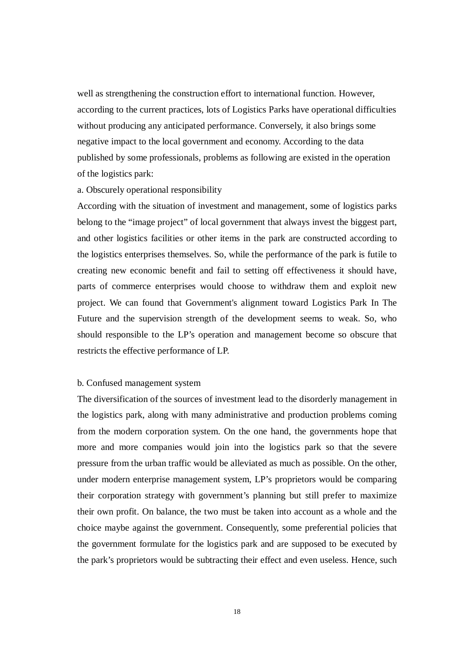well as strengthening the construction effort to international function. However, according to the current practices, lots of Logistics Parks have operational difficulties without producing any anticipated performance. Conversely, it also brings some negative impact to the local government and economy. According to the data published by some professionals, problems as following are existed in the operation of the logistics park:

#### a. Obscurely operational responsibility

According with the situation of investment and management, some of logistics parks belong to the "image project" of local government that always invest the biggest part, and other logistics facilities or other items in the park are constructed according to the logistics enterprises themselves. So, while the performance of the park is futile to creating new economic benefit and fail to setting off effectiveness it should have, parts of commerce enterprises would choose to withdraw them and exploit new project. We can found that Government's alignment toward Logistics Park In The Future and the supervision strength of the development seems to weak. So, who should responsible to the LP's operation and management become so obscure that restricts the effective performance of LP.

#### b. Confused management system

The diversification of the sources of investment lead to the disorderly management in the logistics park, along with many administrative and production problems coming from the modern corporation system. On the one hand, the governments hope that more and more companies would join into the logistics park so that the severe pressure from the urban traffic would be alleviated as much as possible. On the other, under modern enterprise management system, LP's proprietors would be comparing their corporation strategy with government's planning but still prefer to maximize their own profit. On balance, the two must be taken into account as a whole and the choice maybe against the government. Consequently, some preferential policies that the government formulate for the logistics park and are supposed to be executed by the park's proprietors would be subtracting their effect and even useless. Hence, such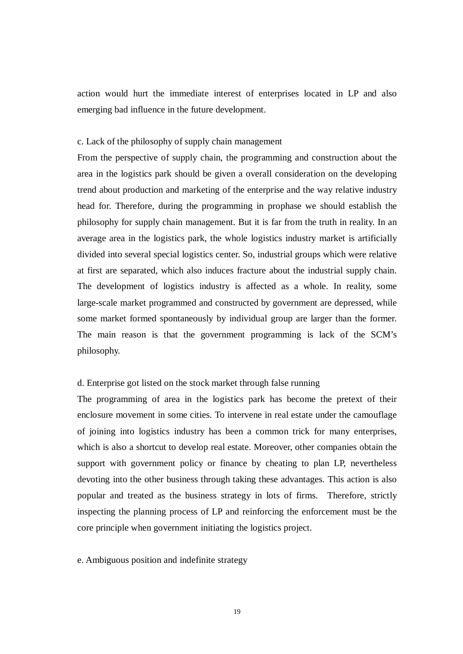action would hurt the immediate interest of enterprises located in LP and also emerging bad influence in the future development.

#### c. Lack of the philosophy of supply chain management

From the perspective of supply chain, the programming and construction about the area in the logistics park should be given a overall consideration on the developing trend about production and marketing of the enterprise and the way relative industry head for. Therefore, during the programming in prophase we should establish the philosophy for supply chain management. But it is far from the truth in reality. In an average area in the logistics park, the whole logistics industry market is artificially divided into several special logistics center. So, industrial groups which were relative at first are separated, which also induces fracture about the industrial supply chain. The development of logistics industry is affected as a whole. In reality, some large-scale market programmed and constructed by government are depressed, while some market formed spontaneously by individual group are larger than the former. The main reason is that the government programming is lack of the SCM's philosophy.

#### d. Enterprise got listed on the stock market through false running

The programming of area in the logistics park has become the pretext of their enclosure movement in some cities. To intervene in real estate under the camouflage of joining into logistics industry has been a common trick for many enterprises, which is also a shortcut to develop real estate. Moreover, other companies obtain the support with government policy or finance by cheating to plan LP, nevertheless devoting into the other business through taking these advantages. This action is also popular and treated as the business strategy in lots of firms. Therefore, strictly inspecting the planning process of LP and reinforcing the enforcement must be the core principle when government initiating the logistics project.

e. Ambiguous position and indefinite strategy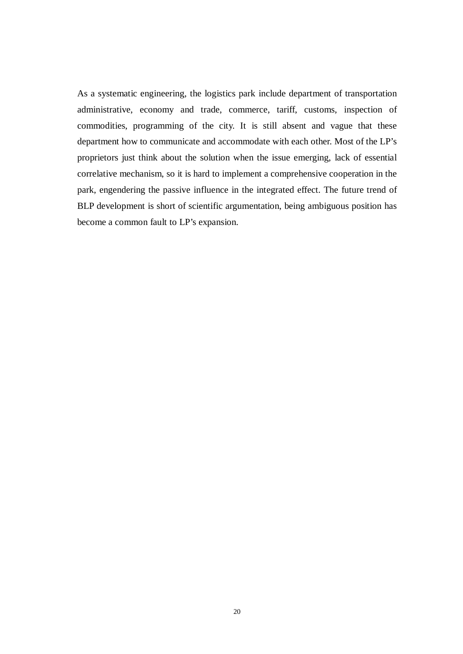As a systematic engineering, the logistics park include department of transportation administrative, economy and trade, commerce, tariff, customs, inspection of commodities, programming of the city. It is still absent and vague that these department how to communicate and accommodate with each other. Most of the LP's proprietors just think about the solution when the issue emerging, lack of essential correlative mechanism, so it is hard to implement a comprehensive cooperation in the park, engendering the passive influence in the integrated effect. The future trend of BLP development is short of scientific argumentation, being ambiguous position has become a common fault to LP's expansion.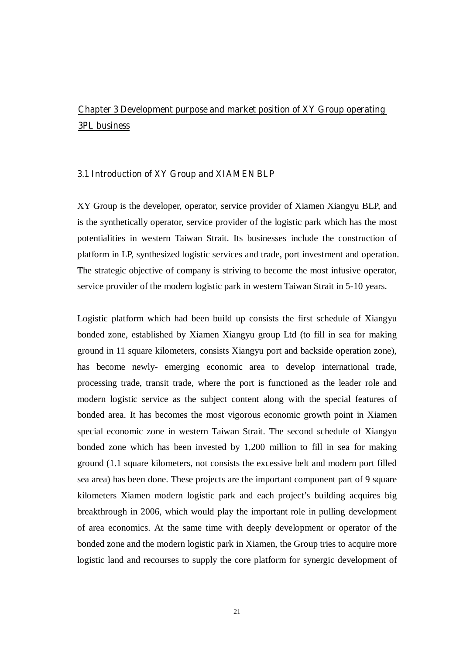### **Chapter 3 Development purpose and market position of XY Group operating 3PL business**

#### **3.1 Introduction of XY Group and XIAMEN BLP**

XY Group is the developer, operator, service provider of Xiamen Xiangyu BLP, and is the synthetically operator, service provider of the logistic park which has the most potentialities in western Taiwan Strait. Its businesses include the construction of platform in LP, synthesized logistic services and trade, port investment and operation. The strategic objective of company is striving to become the most infusive operator, service provider of the modern logistic park in western Taiwan Strait in 5-10 years.

Logistic platform which had been build up consists the first schedule of Xiangyu bonded zone, established by Xiamen Xiangyu group Ltd (to fill in sea for making ground in 11 square kilometers, consists Xiangyu port and backside operation zone), has become newly- emerging economic area to develop international trade, processing trade, transit trade, where the port is functioned as the leader role and modern logistic service as the subject content along with the special features of bonded area. It has becomes the most vigorous economic growth point in Xiamen special economic zone in western Taiwan Strait. The second schedule of Xiangyu bonded zone which has been invested by 1,200 million to fill in sea for making ground (1.1 square kilometers, not consists the excessive belt and modern port filled sea area) has been done. These projects are the important component part of 9 square kilometers Xiamen modern logistic park and each project's building acquires big breakthrough in 2006, which would play the important role in pulling development of area economics. At the same time with deeply development or operator of the bonded zone and the modern logistic park in Xiamen, the Group tries to acquire more logistic land and recourses to supply the core platform for synergic development of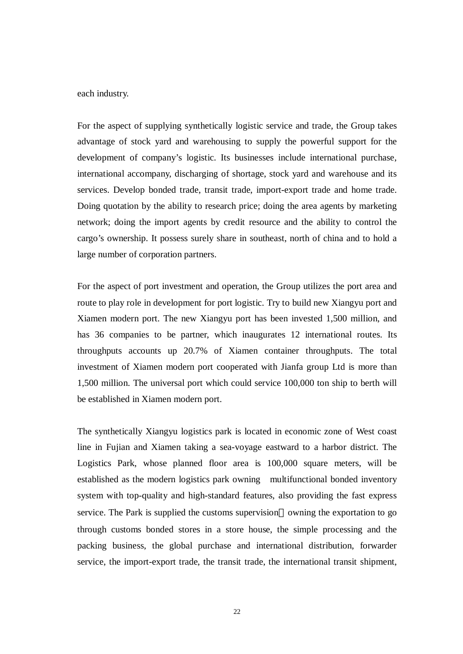each industry.

For the aspect of supplying synthetically logistic service and trade, the Group takes advantage of stock yard and warehousing to supply the powerful support for the development of company's logistic. Its businesses include international purchase, international accompany, discharging of shortage, stock yard and warehouse and its services. Develop bonded trade, transit trade, import-export trade and home trade. Doing quotation by the ability to research price; doing the area agents by marketing network; doing the import agents by credit resource and the ability to control the cargo's ownership. It possess surely share in southeast, north of china and to hold a large number of corporation partners.

For the aspect of port investment and operation, the Group utilizes the port area and route to play role in development for port logistic. Try to build new Xiangyu port and Xiamen modern port. The new Xiangyu port has been invested 1,500 million, and has 36 companies to be partner, which inaugurates 12 international routes. Its throughputs accounts up 20.7% of Xiamen container throughputs. The total investment of Xiamen modern port cooperated with Jianfa group Ltd is more than 1,500 million. The universal port which could service 100,000 ton ship to berth will be established in Xiamen modern port.

The synthetically Xiangyu logistics park is located in economic zone of West coast line in Fujian and Xiamen taking a sea-voyage eastward to a harbor district. The Logistics Park, whose planned floor area is 100,000 square meters, will be established as the modern logistics park owning multifunctional bonded inventory system with top-quality and high-standard features, also providing the fast express service. The Park is supplied the customs supervision owning the exportation to go through customs bonded stores in a store house, the simple processing and the packing business, the global purchase and international distribution, forwarder service, the import-export trade, the transit trade, the international transit shipment,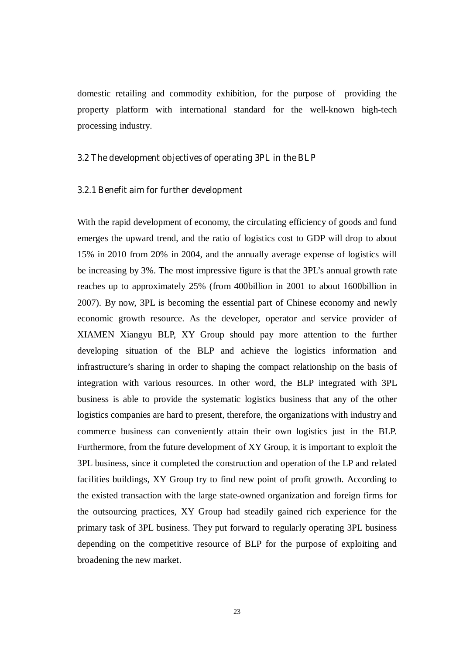domestic retailing and commodity exhibition, for the purpose of providing the property platform with international standard for the well-known high-tech processing industry.

#### **3.2 The development objectives of operating 3PL in the BLP**

#### **3.2.1 Benefit aim for further development**

With the rapid development of economy, the circulating efficiency of goods and fund emerges the upward trend, and the ratio of logistics cost to GDP will drop to about 15% in 2010 from 20% in 2004, and the annually average expense of logistics will be increasing by 3%. The most impressive figure is that the 3PL's annual growth rate reaches up to approximately 25% (from 400billion in 2001 to about 1600billion in 2007). By now, 3PL is becoming the essential part of Chinese economy and newly economic growth resource. As the developer, operator and service provider of XIAMEN Xiangyu BLP, XY Group should pay more attention to the further developing situation of the BLP and achieve the logistics information and infrastructure's sharing in order to shaping the compact relationship on the basis of integration with various resources. In other word, the BLP integrated with 3PL business is able to provide the systematic logistics business that any of the other logistics companies are hard to present, therefore, the organizations with industry and commerce business can conveniently attain their own logistics just in the BLP. Furthermore, from the future development of XY Group, it is important to exploit the 3PL business, since it completed the construction and operation of the LP and related facilities buildings, XY Group try to find new point of profit growth. According to the existed transaction with the large state-owned organization and foreign firms for the outsourcing practices, XY Group had steadily gained rich experience for the primary task of 3PL business. They put forward to regularly operating 3PL business depending on the competitive resource of BLP for the purpose of exploiting and broadening the new market.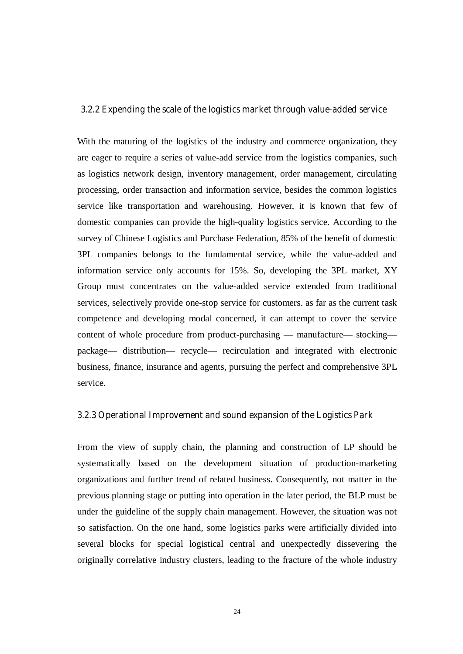#### **3.2.2 Expending the scale of the logistics market through value-added service**

With the maturing of the logistics of the industry and commerce organization, they are eager to require a series of value-add service from the logistics companies, such as logistics network design, inventory management, order management, circulating processing, order transaction and information service, besides the common logistics service like transportation and warehousing. However, it is known that few of domestic companies can provide the high-quality logistics service. According to the survey of Chinese Logistics and Purchase Federation, 85% of the benefit of domestic 3PL companies belongs to the fundamental service, while the value-added and information service only accounts for 15%. So, developing the 3PL market, XY Group must concentrates on the value-added service extended from traditional services, selectively provide one-stop service for customers. as far as the current task competence and developing modal concerned, it can attempt to cover the service content of whole procedure from product-purchasing — manufacture— stocking package— distribution— recycle— recirculation and integrated with electronic business, finance, insurance and agents, pursuing the perfect and comprehensive 3PL service.

#### **3.2.3 Operational Improvement and sound expansion of the Logistics Park**

From the view of supply chain, the planning and construction of LP should be systematically based on the development situation of production-marketing organizations and further trend of related business. Consequently, not matter in the previous planning stage or putting into operation in the later period, the BLP must be under the guideline of the supply chain management. However, the situation was not so satisfaction. On the one hand, some logistics parks were artificially divided into several blocks for special logistical central and unexpectedly dissevering the originally correlative industry clusters, leading to the fracture of the whole industry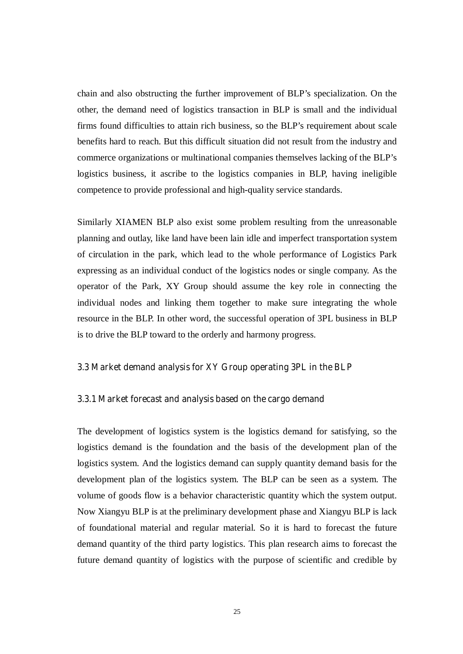chain and also obstructing the further improvement of BLP's specialization. On the other, the demand need of logistics transaction in BLP is small and the individual firms found difficulties to attain rich business, so the BLP's requirement about scale benefits hard to reach. But this difficult situation did not result from the industry and commerce organizations or multinational companies themselves lacking of the BLP's logistics business, it ascribe to the logistics companies in BLP, having ineligible competence to provide professional and high-quality service standards.

Similarly XIAMEN BLP also exist some problem resulting from the unreasonable planning and outlay, like land have been lain idle and imperfect transportation system of circulation in the park, which lead to the whole performance of Logistics Park expressing as an individual conduct of the logistics nodes or single company. As the operator of the Park, XY Group should assume the key role in connecting the individual nodes and linking them together to make sure integrating the whole resource in the BLP. In other word, the successful operation of 3PL business in BLP is to drive the BLP toward to the orderly and harmony progress.

#### **3.3 Market demand analysis for XY Group operating 3PL in the BLP**

#### **3.3.1 Market forecast and analysis based on the cargo demand**

The development of logistics system is the logistics demand for satisfying, so the logistics demand is the foundation and the basis of the development plan of the logistics system. And the logistics demand can supply quantity demand basis for the development plan of the logistics system. The BLP can be seen as a system. The volume of goods flow is a behavior characteristic quantity which the system output. Now Xiangyu BLP is at the preliminary development phase and Xiangyu BLP is lack of foundational material and regular material. So it is hard to forecast the future demand quantity of the third party logistics. This plan research aims to forecast the future demand quantity of logistics with the purpose of scientific and credible by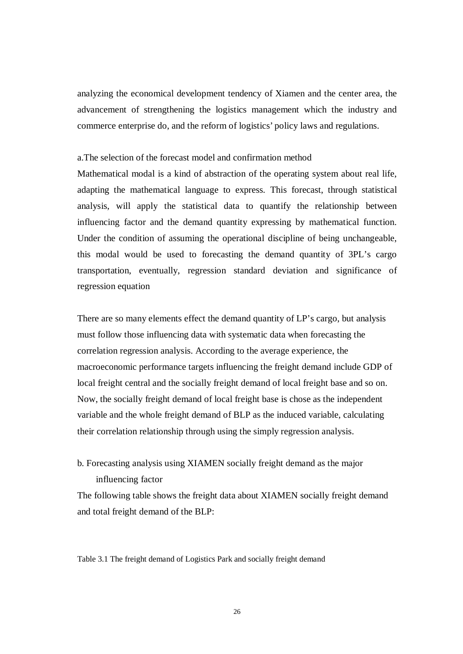analyzing the economical development tendency of Xiamen and the center area, the advancement of strengthening the logistics management which the industry and commerce enterprise do, and the reform of logistics' policy laws and regulations.

#### a.The selection of the forecast model and confirmation method

Mathematical modal is a kind of abstraction of the operating system about real life, adapting the mathematical language to express. This forecast, through statistical analysis, will apply the statistical data to quantify the relationship between influencing factor and the demand quantity expressing by mathematical function. Under the condition of assuming the operational discipline of being unchangeable, this modal would be used to forecasting the demand quantity of 3PL's cargo transportation, eventually, regression standard deviation and significance of regression equation

There are so many elements effect the demand quantity of LP's cargo, but analysis must follow those influencing data with systematic data when forecasting the correlation regression analysis. According to the average experience, the macroeconomic performance targets influencing the freight demand include GDP of local freight central and the socially freight demand of local freight base and so on. Now, the socially freight demand of local freight base is chose as the independent variable and the whole freight demand of BLP as the induced variable, calculating their correlation relationship through using the simply regression analysis.

### b. Forecasting analysis using XIAMEN socially freight demand as the major influencing factor

The following table shows the freight data about XIAMEN socially freight demand and total freight demand of the BLP:

Table 3.1 The freight demand of Logistics Park and socially freight demand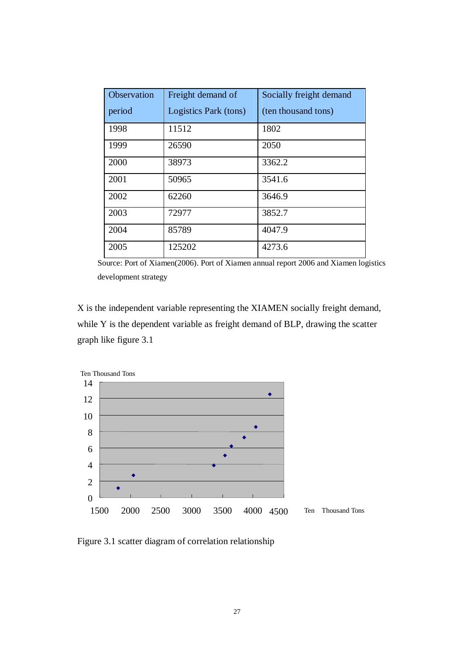| Observation | Freight demand of     | Socially freight demand |
|-------------|-----------------------|-------------------------|
| period      | Logistics Park (tons) | (ten thousand tons)     |
| 1998        | 11512                 | 1802                    |
| 1999        | 26590                 | 2050                    |
| 2000        | 38973                 | 3362.2                  |
| 2001        | 50965                 | 3541.6                  |
| 2002        | 62260                 | 3646.9                  |
| 2003        | 72977                 | 3852.7                  |
| 2004        | 85789                 | 4047.9                  |
| 2005        | 125202                | 4273.6                  |

Source: Port of Xiamen(2006). Port of Xiamen annual report 2006 and Xiamen logistics development strategy

X is the independent variable representing the XIAMEN socially freight demand, while Y is the dependent variable as freight demand of BLP, drawing the scatter graph like figure 3.1



Figure 3.1 scatter diagram of correlation relationship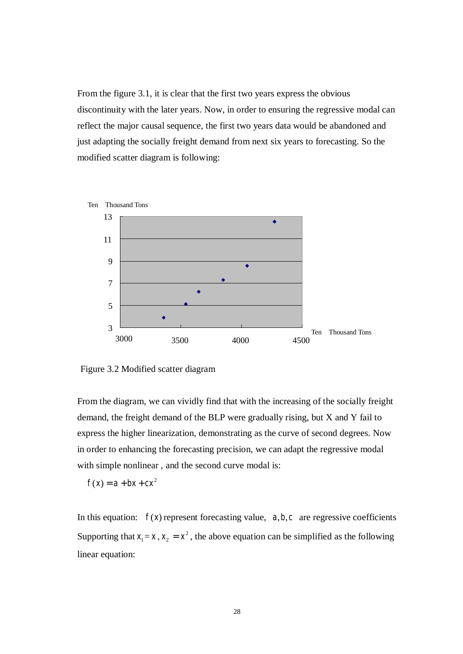From the figure 3.1, it is clear that the first two years express the obvious discontinuity with the later years. Now, in order to ensuring the regressive modal can reflect the major causal sequence, the first two years data would be abandoned and just adapting the socially freight demand from next six years to forecasting. So the modified scatter diagram is following:



Figure 3.2 Modified scatter diagram

From the diagram, we can vividly find that with the increasing of the socially freight demand, the freight demand of the BLP were gradually rising, but X and Y fail to express the higher linearization, demonstrating as the curve of second degrees. Now in order to enhancing the forecasting precision, we can adapt the regressive modal with simple nonlinear , and the second curve modal is:

$$
f(x) = a + bx + cx^2
$$

In this equation:  $f(x)$  represent forecasting value,  $a, b, c$  are regressive coefficients Supporting that  $x_1 = x$ ,  $x_2 = x^2$ , the above equation can be simplified as the following linear equation: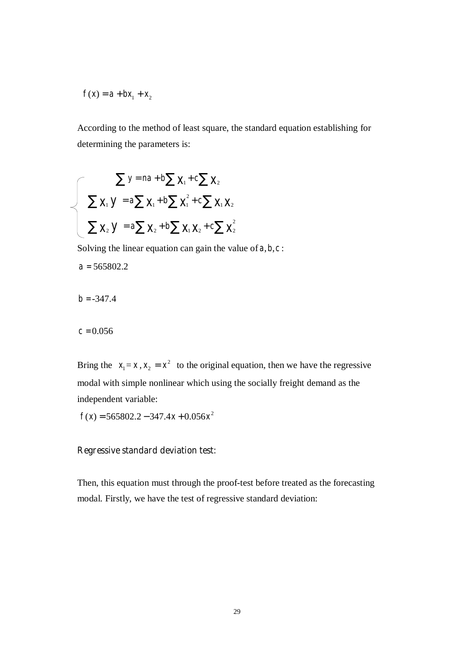$$
f(x) = a + bx_1 + x_2
$$

According to the method of least square, the standard equation establishing for determining the parameters is:

$$
\sum y = na + b \sum x_1 + c \sum x_2
$$
  

$$
\sum x_1 y = a \sum x_1 + b \sum x_1^2 + c \sum x_1 x_2
$$
  

$$
\sum x_2 y = a \sum x_2 + b \sum x_1 x_2 + c \sum x_2^2
$$

Solving the linear equation can gain the value of  $a, b, c$ :

 $a = 565802.2$ 

$$
b = -347.4
$$

 $c = 0.056$ 

Bring the  $x_1 = x$ ,  $x_2 = x^2$  to the original equation, then we have the regressive modal with simple nonlinear which using the socially freight demand as the independent variable:

 $f(x) = 565802.2 - 347.4x + 0.056x^2$ 

#### **Regressive standard deviation test:**

Then, this equation must through the proof-test before treated as the forecasting modal. Firstly, we have the test of regressive standard deviation: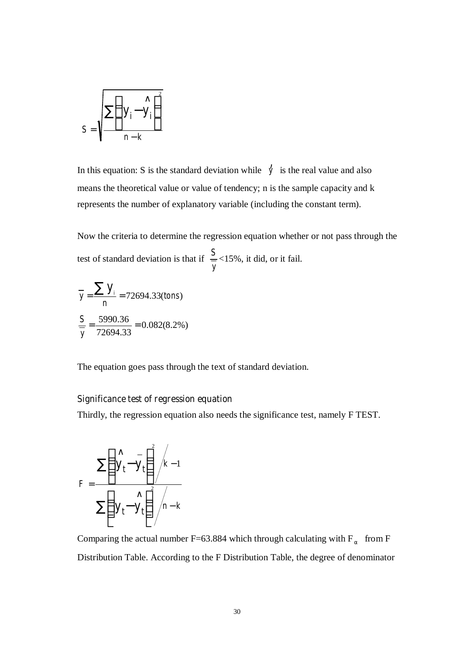$$
S = \sqrt{\frac{\sum_{i=1}^{N} y_i - y_i}{n-k}}
$$

In this equation: S is the standard deviation while  $\dot{y}$  is the real value and also means the theoretical value or value of tendency; n is the sample capacity and k represents the number of explanatory variable (including the constant term).

Now the criteria to determine the regression equation whether or not pass through the test of standard deviation is that if *y S* = <15%, it did, or it fail.

$$
\overline{y} = \frac{\sum y_i}{n} = 72694.33 \text{(tons)}
$$
\n
$$
\frac{S}{y} = \frac{5990.36}{72694.33} = 0.082(8.2\%)
$$

The equation goes pass through the text of standard deviation.

#### **Significance test of regression equation**

Thirdly, the regression equation also needs the significance test, namely F TEST.

$$
F = \frac{\sum \left(\sum_{t=1}^{N} \frac{1}{y_t} \right)^2 / k - 1}{\sum \left(\sum_{t=1}^{N} \frac{1}{y_t} \right)^2 / n - k}
$$

Comparing the actual number F=63.884 which through calculating with  $F_\alpha$  from F Distribution Table. According to the F Distribution Table, the degree of denominator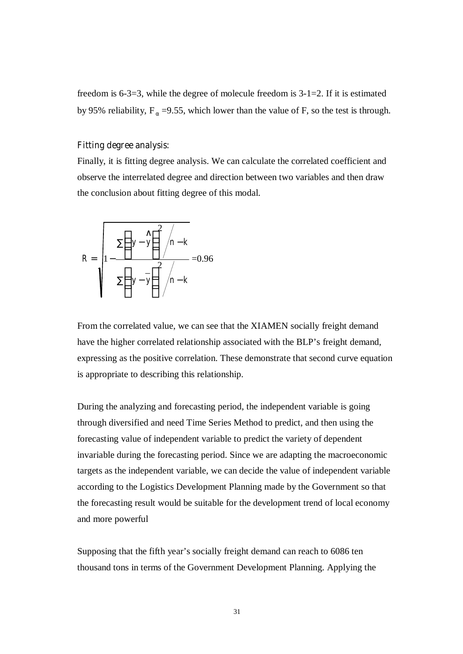freedom is 6-3=3, while the degree of molecule freedom is 3-1=2. If it is estimated by 95% reliability,  $F_{\alpha}$  =9.55, which lower than the value of F, so the test is through.

#### **Fitting degree analysis:**

Finally, it is fitting degree analysis. We can calculate the correlated coefficient and observe the interrelated degree and direction between two variables and then draw the conclusion about fitting degree of this modal.

$$
R = \sqrt{1 - \frac{\sum (y - \hat{y})^2 / n - k}{\sum (y - \hat{y})^2 / n - k}} = 0.96
$$

From the correlated value, we can see that the XIAMEN socially freight demand have the higher correlated relationship associated with the BLP's freight demand, expressing as the positive correlation. These demonstrate that second curve equation is appropriate to describing this relationship.

During the analyzing and forecasting period, the independent variable is going through diversified and need Time Series Method to predict, and then using the forecasting value of independent variable to predict the variety of dependent invariable during the forecasting period. Since we are adapting the macroeconomic targets as the independent variable, we can decide the value of independent variable according to the Logistics Development Planning made by the Government so that the forecasting result would be suitable for the development trend of local economy and more powerful

Supposing that the fifth year's socially freight demand can reach to 6086 ten thousand tons in terms of the Government Development Planning. Applying the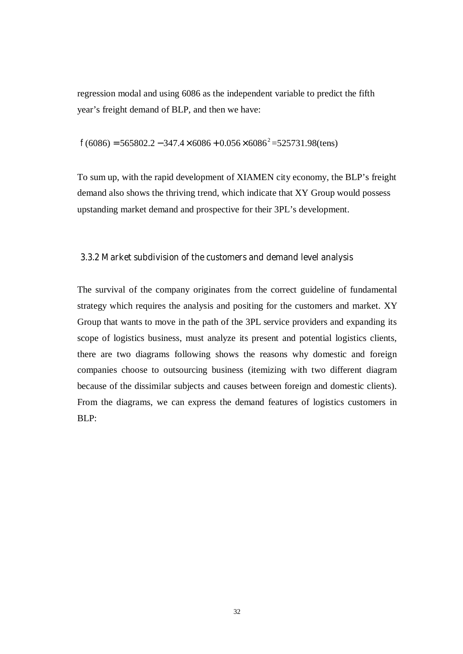regression modal and using 6086 as the independent variable to predict the fifth year's freight demand of BLP, and then we have:

 $f(6086) = 565802.2 - 347.4 \times 6086 + 0.056 \times 6086^2 = 525731.98$ (tens)

To sum up, with the rapid development of XIAMEN city economy, the BLP's freight demand also shows the thriving trend, which indicate that XY Group would possess upstanding market demand and prospective for their 3PL's development.

#### **3.3.2 Market subdivision of the customers and demand level analysis**

The survival of the company originates from the correct guideline of fundamental strategy which requires the analysis and positing for the customers and market. XY Group that wants to move in the path of the 3PL service providers and expanding its scope of logistics business, must analyze its present and potential logistics clients, there are two diagrams following shows the reasons why domestic and foreign companies choose to outsourcing business (itemizing with two different diagram because of the dissimilar subjects and causes between foreign and domestic clients). From the diagrams, we can express the demand features of logistics customers in BLP: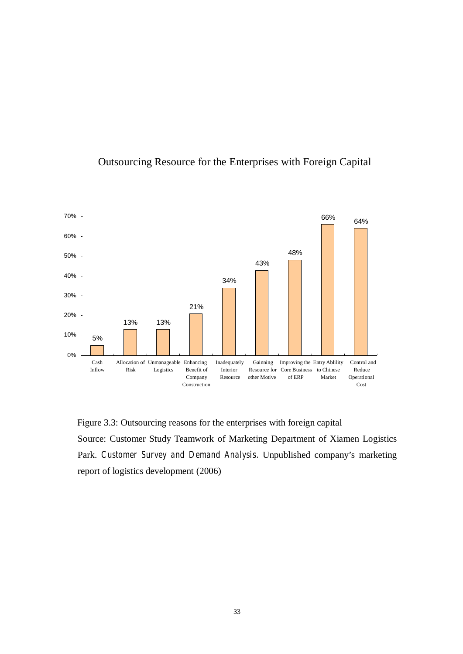

### Outsourcing Resource for the Enterprises with Foreign Capital

Figure 3.3: Outsourcing reasons for the enterprises with foreign capital Source: Customer Study Teamwork of Marketing Department of Xiamen Logistics Park. *Customer Survey and Demand Analysis.* Unpublished company's marketing report of logistics development (2006)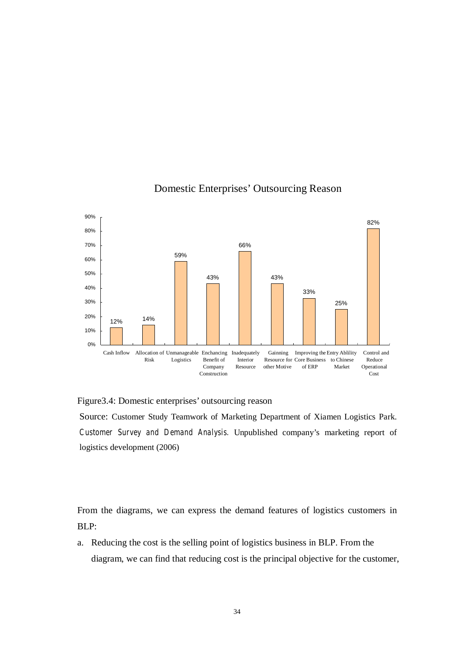

### Domestic Enterprises' Outsourcing Reason

Figure3.4: Domestic enterprises' outsourcing reason

Source: Customer Study Teamwork of Marketing Department of Xiamen Logistics Park. *Customer Survey and Demand Analysis.* Unpublished company's marketing report of logistics development (2006)

From the diagrams, we can express the demand features of logistics customers in BLP:

a. Reducing the cost is the selling point of logistics business in BLP. From the diagram, we can find that reducing cost is the principal objective for the customer,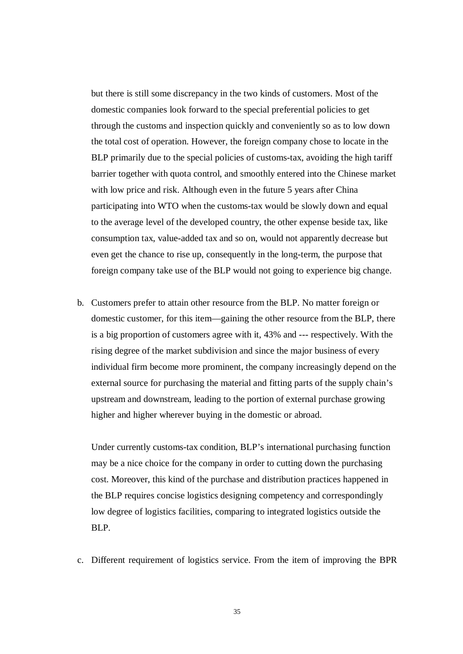but there is still some discrepancy in the two kinds of customers. Most of the domestic companies look forward to the special preferential policies to get through the customs and inspection quickly and conveniently so as to low down the total cost of operation. However, the foreign company chose to locate in the BLP primarily due to the special policies of customs-tax, avoiding the high tariff barrier together with quota control, and smoothly entered into the Chinese market with low price and risk. Although even in the future 5 years after China participating into WTO when the customs-tax would be slowly down and equal to the average level of the developed country, the other expense beside tax, like consumption tax, value-added tax and so on, would not apparently decrease but even get the chance to rise up, consequently in the long-term, the purpose that foreign company take use of the BLP would not going to experience big change.

b. Customers prefer to attain other resource from the BLP. No matter foreign or domestic customer, for this item—gaining the other resource from the BLP, there is a big proportion of customers agree with it, 43% and --- respectively. With the rising degree of the market subdivision and since the major business of every individual firm become more prominent, the company increasingly depend on the external source for purchasing the material and fitting parts of the supply chain's upstream and downstream, leading to the portion of external purchase growing higher and higher wherever buying in the domestic or abroad.

Under currently customs-tax condition, BLP's international purchasing function may be a nice choice for the company in order to cutting down the purchasing cost. Moreover, this kind of the purchase and distribution practices happened in the BLP requires concise logistics designing competency and correspondingly low degree of logistics facilities, comparing to integrated logistics outside the BLP.

c. Different requirement of logistics service. From the item of improving the BPR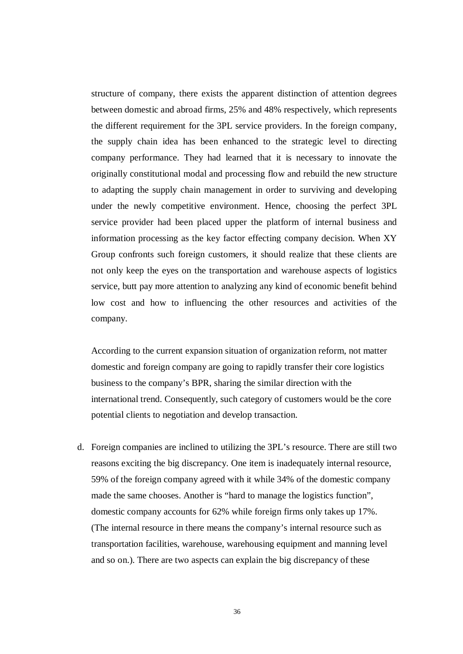structure of company, there exists the apparent distinction of attention degrees between domestic and abroad firms, 25% and 48% respectively, which represents the different requirement for the 3PL service providers. In the foreign company, the supply chain idea has been enhanced to the strategic level to directing company performance. They had learned that it is necessary to innovate the originally constitutional modal and processing flow and rebuild the new structure to adapting the supply chain management in order to surviving and developing under the newly competitive environment. Hence, choosing the perfect 3PL service provider had been placed upper the platform of internal business and information processing as the key factor effecting company decision. When XY Group confronts such foreign customers, it should realize that these clients are not only keep the eyes on the transportation and warehouse aspects of logistics service, butt pay more attention to analyzing any kind of economic benefit behind low cost and how to influencing the other resources and activities of the company.

According to the current expansion situation of organization reform, not matter domestic and foreign company are going to rapidly transfer their core logistics business to the company's BPR, sharing the similar direction with the international trend. Consequently, such category of customers would be the core potential clients to negotiation and develop transaction.

d. Foreign companies are inclined to utilizing the 3PL's resource. There are still two reasons exciting the big discrepancy. One item is inadequately internal resource, 59% of the foreign company agreed with it while 34% of the domestic company made the same chooses. Another is "hard to manage the logistics function", domestic company accounts for 62% while foreign firms only takes up 17%. (The internal resource in there means the company's internal resource such as transportation facilities, warehouse, warehousing equipment and manning level and so on.). There are two aspects can explain the big discrepancy of these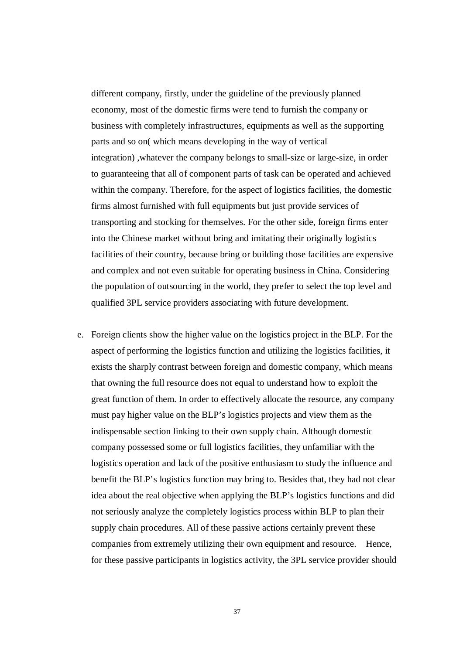different company, firstly, under the guideline of the previously planned economy, most of the domestic firms were tend to furnish the company or business with completely infrastructures, equipments as well as the supporting parts and so on( which means developing in the way of vertical integration) ,whatever the company belongs to small-size or large-size, in order to guaranteeing that all of component parts of task can be operated and achieved within the company. Therefore, for the aspect of logistics facilities, the domestic firms almost furnished with full equipments but just provide services of transporting and stocking for themselves. For the other side, foreign firms enter into the Chinese market without bring and imitating their originally logistics facilities of their country, because bring or building those facilities are expensive and complex and not even suitable for operating business in China. Considering the population of outsourcing in the world, they prefer to select the top level and qualified 3PL service providers associating with future development.

e. Foreign clients show the higher value on the logistics project in the BLP. For the aspect of performing the logistics function and utilizing the logistics facilities, it exists the sharply contrast between foreign and domestic company, which means that owning the full resource does not equal to understand how to exploit the great function of them. In order to effectively allocate the resource, any company must pay higher value on the BLP's logistics projects and view them as the indispensable section linking to their own supply chain. Although domestic company possessed some or full logistics facilities, they unfamiliar with the logistics operation and lack of the positive enthusiasm to study the influence and benefit the BLP's logistics function may bring to. Besides that, they had not clear idea about the real objective when applying the BLP's logistics functions and did not seriously analyze the completely logistics process within BLP to plan their supply chain procedures. All of these passive actions certainly prevent these companies from extremely utilizing their own equipment and resource. Hence, for these passive participants in logistics activity, the 3PL service provider should

37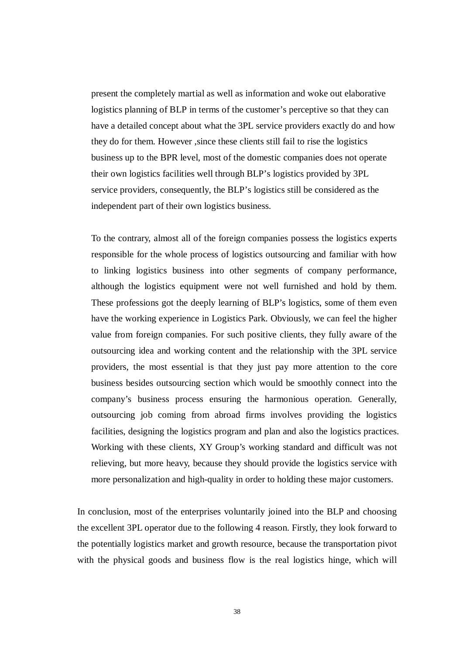present the completely martial as well as information and woke out elaborative logistics planning of BLP in terms of the customer's perceptive so that they can have a detailed concept about what the 3PL service providers exactly do and how they do for them. However ,since these clients still fail to rise the logistics business up to the BPR level, most of the domestic companies does not operate their own logistics facilities well through BLP's logistics provided by 3PL service providers, consequently, the BLP's logistics still be considered as the independent part of their own logistics business.

To the contrary, almost all of the foreign companies possess the logistics experts responsible for the whole process of logistics outsourcing and familiar with how to linking logistics business into other segments of company performance, although the logistics equipment were not well furnished and hold by them. These professions got the deeply learning of BLP's logistics, some of them even have the working experience in Logistics Park. Obviously, we can feel the higher value from foreign companies. For such positive clients, they fully aware of the outsourcing idea and working content and the relationship with the 3PL service providers, the most essential is that they just pay more attention to the core business besides outsourcing section which would be smoothly connect into the company's business process ensuring the harmonious operation. Generally, outsourcing job coming from abroad firms involves providing the logistics facilities, designing the logistics program and plan and also the logistics practices. Working with these clients, XY Group's working standard and difficult was not relieving, but more heavy, because they should provide the logistics service with more personalization and high-quality in order to holding these major customers.

In conclusion, most of the enterprises voluntarily joined into the BLP and choosing the excellent 3PL operator due to the following 4 reason. Firstly, they look forward to the potentially logistics market and growth resource, because the transportation pivot with the physical goods and business flow is the real logistics hinge, which will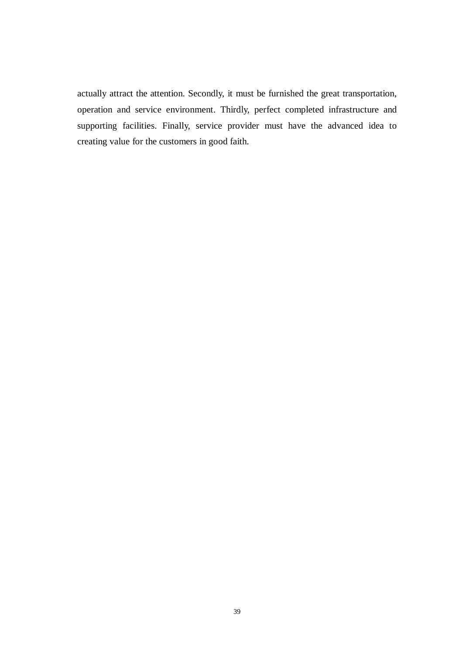actually attract the attention. Secondly, it must be furnished the great transportation, operation and service environment. Thirdly, perfect completed infrastructure and supporting facilities. Finally, service provider must have the advanced idea to creating value for the customers in good faith.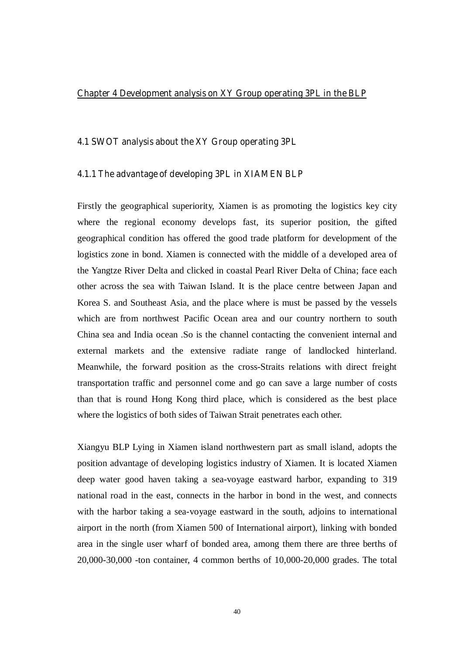#### **Chapter 4 Development analysis on XY Group operating 3PL in the BLP**

#### **4.1 SWOT analysis about the XY Group operating 3PL**

#### **4.1.1 The advantage of developing 3PL in XIAMEN BLP**

Firstly the geographical superiority, Xiamen is as promoting the logistics key city where the regional economy develops fast, its superior position, the gifted geographical condition has offered the good trade platform for development of the logistics zone in bond. Xiamen is connected with the middle of a developed area of the Yangtze River Delta and clicked in coastal Pearl River Delta of China; face each other across the sea with Taiwan Island. It is the place centre between Japan and Korea S. and Southeast Asia, and the place where is must be passed by the vessels which are from northwest Pacific Ocean area and our country northern to south China sea and India ocean .So is the channel contacting the convenient internal and external markets and the extensive radiate range of landlocked hinterland. Meanwhile, the forward position as the cross-Straits relations with direct freight transportation traffic and personnel come and go can save a large number of costs than that is round Hong Kong third place, which is considered as the best place where the logistics of both sides of Taiwan Strait penetrates each other.

Xiangyu BLP Lying in Xiamen island northwestern part as small island, adopts the position advantage of developing logistics industry of Xiamen. It is located Xiamen deep water good haven taking a sea-voyage eastward harbor, expanding to 319 national road in the east, connects in the harbor in bond in the west, and connects with the harbor taking a sea-voyage eastward in the south, adjoins to international airport in the north (from Xiamen 500 of International airport), linking with bonded area in the single user wharf of bonded area, among them there are three berths of 20,000-30,000 -ton container, 4 common berths of 10,000-20,000 grades. The total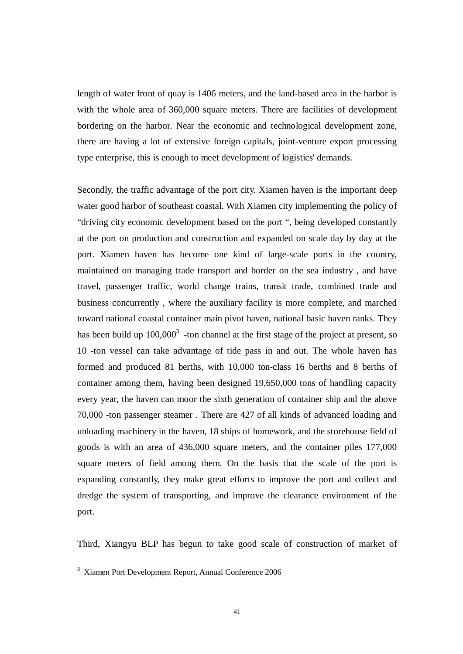length of water front of quay is 1406 meters, and the land-based area in the harbor is with the whole area of 360,000 square meters. There are facilities of development bordering on the harbor. Near the economic and technological development zone, there are having a lot of extensive foreign capitals, joint-venture export processing type enterprise, this is enough to meet development of logistics' demands.

Secondly, the traffic advantage of the port city. Xiamen haven is the important deep water good harbor of southeast coastal. With Xiamen city implementing the policy of "driving city economic development based on the port ", being developed constantly at the port on production and construction and expanded on scale day by day at the port. Xiamen haven has become one kind of large-scale ports in the country, maintained on managing trade transport and border on the sea industry , and have travel, passenger traffic, world change trains, transit trade, combined trade and business concurrently , where the auxiliary facility is more complete, and marched toward national coastal container main pivot haven, national basic haven ranks. They has been build up  $100,000^3$  -ton channel at the first stage of the project at present, so 10 -ton vessel can take advantage of tide pass in and out. The whole haven has formed and produced 81 berths, with 10,000 ton-class 16 berths and 8 berths of container among them, having been designed 19,650,000 tons of handling capacity every year, the haven can moor the sixth generation of container ship and the above 70,000 -ton passenger steamer . There are 427 of all kinds of advanced loading and unloading machinery in the haven, 18 ships of homework, and the storehouse field of goods is with an area of 436,000 square meters, and the container piles 177,000 square meters of field among them. On the basis that the scale of the port is expanding constantly, they make great efforts to improve the port and collect and dredge the system of transporting, and improve the clearance environment of the port.

Third, Xiangyu BLP has begun to take good scale of construction of market of

 3 Xiamen Port Development Report, Annual Conference 2006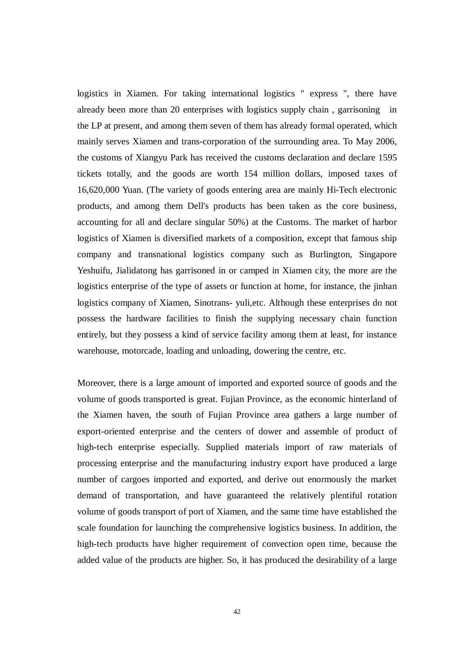logistics in Xiamen. For taking international logistics " express ", there have already been more than 20 enterprises with logistics supply chain , garrisoning in the LP at present, and among them seven of them has already formal operated, which mainly serves Xiamen and trans-corporation of the surrounding area. To May 2006, the customs of Xiangyu Park has received the customs declaration and declare 1595 tickets totally, and the goods are worth 154 million dollars, imposed taxes of 16,620,000 Yuan. (The variety of goods entering area are mainly Hi-Tech electronic products, and among them Dell's products has been taken as the core business, accounting for all and declare singular 50%) at the Customs. The market of harbor logistics of Xiamen is diversified markets of a composition, except that famous ship company and transnational logistics company such as Burlington, Singapore Yeshuifu, Jialidatong has garrisoned in or camped in Xiamen city, the more are the logistics enterprise of the type of assets or function at home, for instance, the jinhan logistics company of Xiamen, Sinotrans- yuli,etc. Although these enterprises do not possess the hardware facilities to finish the supplying necessary chain function entirely, but they possess a kind of service facility among them at least, for instance warehouse, motorcade, loading and unloading, dowering the centre, etc.

Moreover, there is a large amount of imported and exported source of goods and the volume of goods transported is great. Fujian Province, as the economic hinterland of the Xiamen haven, the south of Fujian Province area gathers a large number of export-oriented enterprise and the centers of dower and assemble of product of high-tech enterprise especially. Supplied materials import of raw materials of processing enterprise and the manufacturing industry export have produced a large number of cargoes imported and exported, and derive out enormously the market demand of transportation, and have guaranteed the relatively plentiful rotation volume of goods transport of port of Xiamen, and the same time have established the scale foundation for launching the comprehensive logistics business. In addition, the high-tech products have higher requirement of convection open time, because the added value of the products are higher. So, it has produced the desirability of a large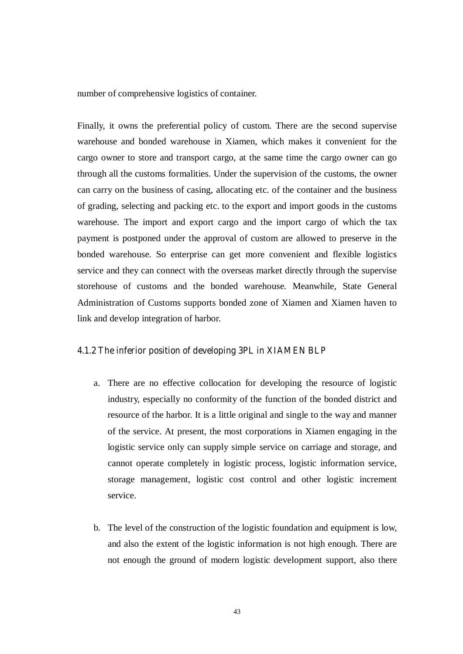number of comprehensive logistics of container.

Finally, it owns the preferential policy of custom. There are the second supervise warehouse and bonded warehouse in Xiamen, which makes it convenient for the cargo owner to store and transport cargo, at the same time the cargo owner can go through all the customs formalities. Under the supervision of the customs, the owner can carry on the business of casing, allocating etc. of the container and the business of grading, selecting and packing etc. to the export and import goods in the customs warehouse. The import and export cargo and the import cargo of which the tax payment is postponed under the approval of custom are allowed to preserve in the bonded warehouse. So enterprise can get more convenient and flexible logistics service and they can connect with the overseas market directly through the supervise storehouse of customs and the bonded warehouse. Meanwhile, State General Administration of Customs supports bonded zone of Xiamen and Xiamen haven to link and develop integration of harbor.

#### **4.1.2 The inferior position of developing 3PL in XIAMEN BLP**

- a. There are no effective collocation for developing the resource of logistic industry, especially no conformity of the function of the bonded district and resource of the harbor. It is a little original and single to the way and manner of the service. At present, the most corporations in Xiamen engaging in the logistic service only can supply simple service on carriage and storage, and cannot operate completely in logistic process, logistic information service, storage management, logistic cost control and other logistic increment service.
- b. The level of the construction of the logistic foundation and equipment is low, and also the extent of the logistic information is not high enough. There are not enough the ground of modern logistic development support, also there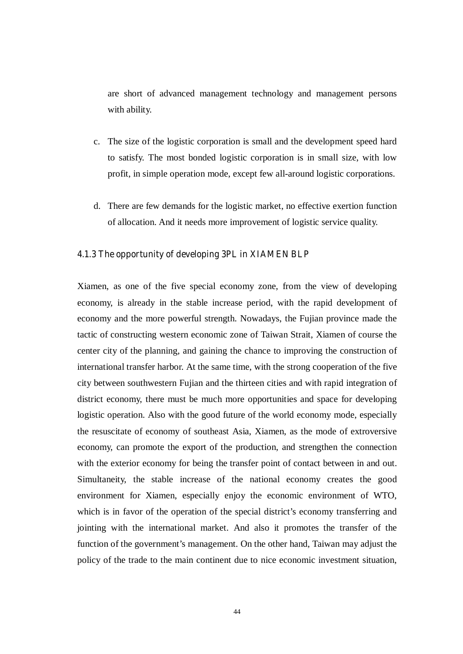are short of advanced management technology and management persons with ability.

- c. The size of the logistic corporation is small and the development speed hard to satisfy. The most bonded logistic corporation is in small size, with low profit, in simple operation mode, except few all-around logistic corporations.
- d. There are few demands for the logistic market, no effective exertion function of allocation. And it needs more improvement of logistic service quality.

#### **4.1.3 The opportunity of developing 3PL in XIAMEN BLP**

Xiamen, as one of the five special economy zone, from the view of developing economy, is already in the stable increase period, with the rapid development of economy and the more powerful strength. Nowadays, the Fujian province made the tactic of constructing western economic zone of Taiwan Strait, Xiamen of course the center city of the planning, and gaining the chance to improving the construction of international transfer harbor. At the same time, with the strong cooperation of the five city between southwestern Fujian and the thirteen cities and with rapid integration of district economy, there must be much more opportunities and space for developing logistic operation. Also with the good future of the world economy mode, especially the resuscitate of economy of southeast Asia, Xiamen, as the mode of extroversive economy, can promote the export of the production, and strengthen the connection with the exterior economy for being the transfer point of contact between in and out. Simultaneity, the stable increase of the national economy creates the good environment for Xiamen, especially enjoy the economic environment of WTO, which is in favor of the operation of the special district's economy transferring and jointing with the international market. And also it promotes the transfer of the function of the government's management. On the other hand, Taiwan may adjust the policy of the trade to the main continent due to nice economic investment situation,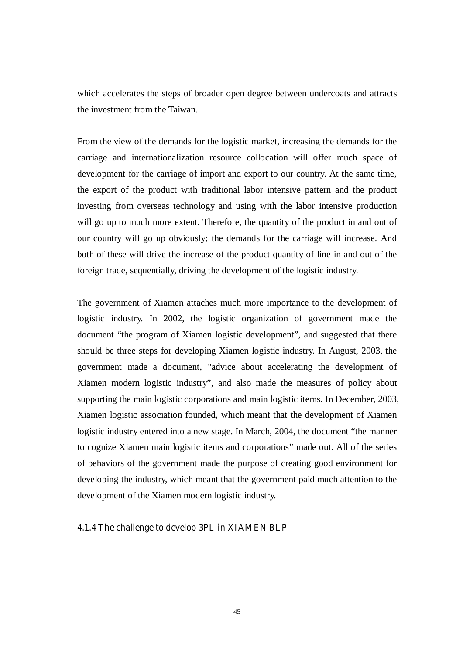which accelerates the steps of broader open degree between undercoats and attracts the investment from the Taiwan.

From the view of the demands for the logistic market, increasing the demands for the carriage and internationalization resource collocation will offer much space of development for the carriage of import and export to our country. At the same time, the export of the product with traditional labor intensive pattern and the product investing from overseas technology and using with the labor intensive production will go up to much more extent. Therefore, the quantity of the product in and out of our country will go up obviously; the demands for the carriage will increase. And both of these will drive the increase of the product quantity of line in and out of the foreign trade, sequentially, driving the development of the logistic industry.

The government of Xiamen attaches much more importance to the development of logistic industry. In 2002, the logistic organization of government made the document "the program of Xiamen logistic development", and suggested that there should be three steps for developing Xiamen logistic industry. In August, 2003, the government made a document, "advice about accelerating the development of Xiamen modern logistic industry", and also made the measures of policy about supporting the main logistic corporations and main logistic items. In December, 2003, Xiamen logistic association founded, which meant that the development of Xiamen logistic industry entered into a new stage. In March, 2004, the document "the manner to cognize Xiamen main logistic items and corporations" made out. All of the series of behaviors of the government made the purpose of creating good environment for developing the industry, which meant that the government paid much attention to the development of the Xiamen modern logistic industry.

#### **4.1.4 The challenge to develop 3PL in XIAMEN BLP**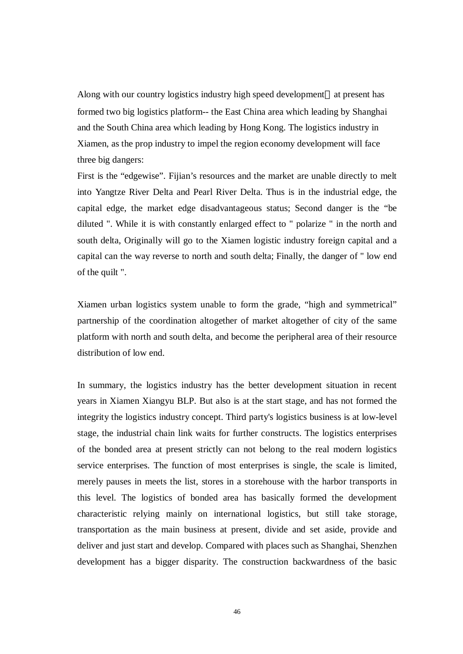Along with our country logistics industry high speed development at present has formed two big logistics platform-- the East China area which leading by Shanghai and the South China area which leading by Hong Kong. The logistics industry in Xiamen, as the prop industry to impel the region economy development will face three big dangers:

First is the "edgewise". Fijian's resources and the market are unable directly to melt into Yangtze River Delta and Pearl River Delta. Thus is in the industrial edge, the capital edge, the market edge disadvantageous status; Second danger is the "be diluted ". While it is with constantly enlarged effect to " polarize " in the north and south delta, Originally will go to the Xiamen logistic industry foreign capital and a capital can the way reverse to north and south delta; Finally, the danger of " low end of the quilt ".

Xiamen urban logistics system unable to form the grade, "high and symmetrical" partnership of the coordination altogether of market altogether of city of the same platform with north and south delta, and become the peripheral area of their resource distribution of low end.

In summary, the logistics industry has the better development situation in recent years in Xiamen Xiangyu BLP. But also is at the start stage, and has not formed the integrity the logistics industry concept. Third party's logistics business is at low-level stage, the industrial chain link waits for further constructs. The logistics enterprises of the bonded area at present strictly can not belong to the real modern logistics service enterprises. The function of most enterprises is single, the scale is limited, merely pauses in meets the list, stores in a storehouse with the harbor transports in this level. The logistics of bonded area has basically formed the development characteristic relying mainly on international logistics, but still take storage, transportation as the main business at present, divide and set aside, provide and deliver and just start and develop. Compared with places such as Shanghai, Shenzhen development has a bigger disparity. The construction backwardness of the basic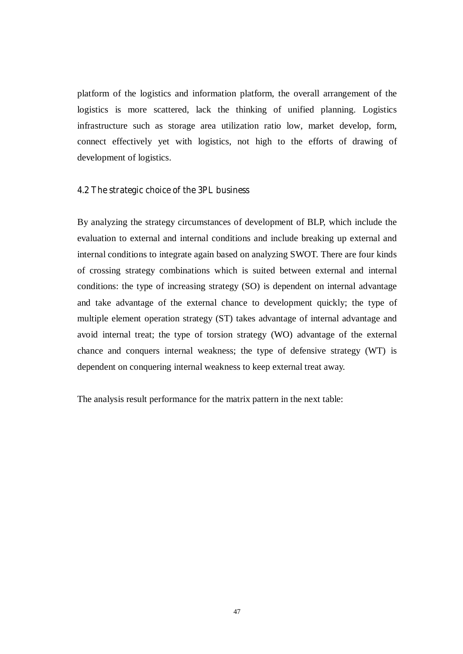platform of the logistics and information platform, the overall arrangement of the logistics is more scattered, lack the thinking of unified planning. Logistics infrastructure such as storage area utilization ratio low, market develop, form, connect effectively yet with logistics, not high to the efforts of drawing of development of logistics.

#### **4.2 The strategic choice of the 3PL business**

By analyzing the strategy circumstances of development of BLP, which include the evaluation to external and internal conditions and include breaking up external and internal conditions to integrate again based on analyzing SWOT. There are four kinds of crossing strategy combinations which is suited between external and internal conditions: the type of increasing strategy (SO) is dependent on internal advantage and take advantage of the external chance to development quickly; the type of multiple element operation strategy (ST) takes advantage of internal advantage and avoid internal treat; the type of torsion strategy (WO) advantage of the external chance and conquers internal weakness; the type of defensive strategy (WT) is dependent on conquering internal weakness to keep external treat away.

The analysis result performance for the matrix pattern in the next table: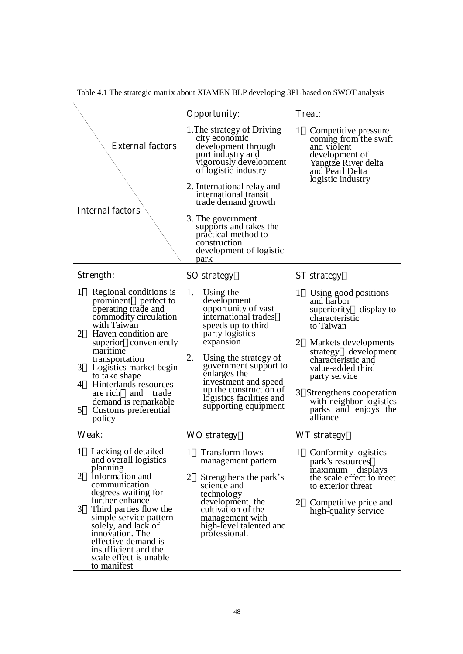|                                                                                                                                                                                                                                                                                                                                                                                      | <b>Opportunity:</b>                                                                                                                                                                                                                                                                                               | <b>Treat:</b>                                                                                                                                                                                                                                                                                                    |
|--------------------------------------------------------------------------------------------------------------------------------------------------------------------------------------------------------------------------------------------------------------------------------------------------------------------------------------------------------------------------------------|-------------------------------------------------------------------------------------------------------------------------------------------------------------------------------------------------------------------------------------------------------------------------------------------------------------------|------------------------------------------------------------------------------------------------------------------------------------------------------------------------------------------------------------------------------------------------------------------------------------------------------------------|
| <b>External factors</b>                                                                                                                                                                                                                                                                                                                                                              | 1. The strategy of Driving<br>city economic<br>development through<br>port industry and<br>vigorously development<br>of logistic industry                                                                                                                                                                         | 1<br>Competitive pressure<br>coming from the swift<br>and violent<br>development of<br>Yangtze River delta<br>and Pearl Delta                                                                                                                                                                                    |
| <b>Internal factors</b>                                                                                                                                                                                                                                                                                                                                                              | 2. International relay and<br>international transit<br>trade demand growth                                                                                                                                                                                                                                        | logistic industry                                                                                                                                                                                                                                                                                                |
|                                                                                                                                                                                                                                                                                                                                                                                      | 3. The government<br>supports and takes the<br>practical method to<br>construction<br>development of logistic<br>park                                                                                                                                                                                             |                                                                                                                                                                                                                                                                                                                  |
| Strength:                                                                                                                                                                                                                                                                                                                                                                            | <b>SO</b> strategy                                                                                                                                                                                                                                                                                                | <b>ST</b> strategy                                                                                                                                                                                                                                                                                               |
| $\mathbf{1}$<br>Regional conditions is<br>prominent perfect to<br>operating trade and<br>commodity circulation<br>with Taiwan<br>2<br>Haven condition are.<br>superior conveniently<br>maritime<br>transportation<br>3<br>Logistics market begin<br>to take shape<br>4<br>Hinterlands resources<br>are rich and trade<br>demand is remarkable<br>5<br>Customs preferential<br>policy | 1.<br>Using the<br>development<br>opportunity of vast<br>international trades<br>speeds up to third<br>party logistics<br>expansion<br>2.<br>Using the strategy of<br>government support to<br>enlarges the<br>investment and speed<br>up the construction of<br>logistics facilities and<br>supporting equipment | 1<br>Using good positions<br>and harbor<br>superiority display to<br>characteristic<br>to Taiwan<br>2<br>Markets developments<br>strategy development<br>characteristic and<br>value-added third<br>party service<br>3<br>Strengthens cooperation<br>with neighbor logistics<br>parks and enjoys the<br>alliance |
| Weak:                                                                                                                                                                                                                                                                                                                                                                                | <b>WO</b> strategy                                                                                                                                                                                                                                                                                                | <b>WT</b> strategy                                                                                                                                                                                                                                                                                               |
| 1 Lacking of detailed<br>and overall logistics<br>planning<br>2<br>Information and<br>communication<br>degrees waiting for<br>further enhance<br>3<br>Third parties flow the<br>simple service pattern<br>solely, and lack of<br>innovation. The<br>effective demand is<br>insufficient and the<br>scale effect is unable<br>to manifest                                             | 1 Transform flows<br>management pattern<br>$\overline{2}$<br>Strengthens the park's<br>science and<br>technology<br>development, the<br>cultivation of the<br>management with<br>high-level talented and<br>professional.                                                                                         | 1 Conformity logistics<br>park's resources<br>maximum displays<br>the scale effect to meet<br>to exterior threat<br>$\overline{2}$<br>Competitive price and<br>high-quality service                                                                                                                              |

Table 4.1 The strategic matrix about XIAMEN BLP developing 3PL based on SWOT analysis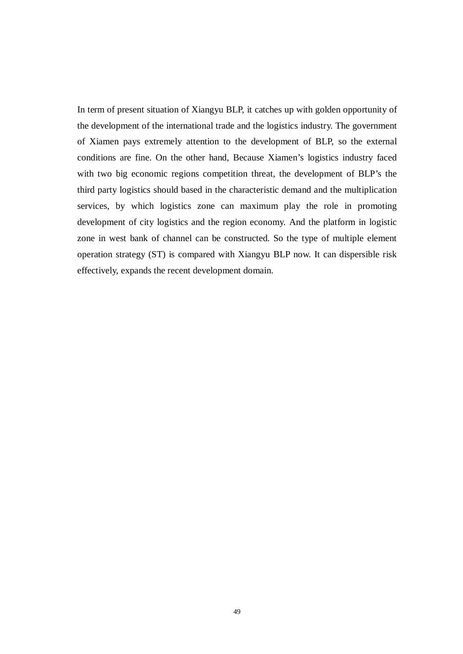In term of present situation of Xiangyu BLP, it catches up with golden opportunity of the development of the international trade and the logistics industry. The government of Xiamen pays extremely attention to the development of BLP, so the external conditions are fine. On the other hand, Because Xiamen's logistics industry faced with two big economic regions competition threat, the development of BLP's the third party logistics should based in the characteristic demand and the multiplication services, by which logistics zone can maximum play the role in promoting development of city logistics and the region economy. And the platform in logistic zone in west bank of channel can be constructed. So the type of multiple element operation strategy (ST) is compared with Xiangyu BLP now. It can dispersible risk effectively, expands the recent development domain.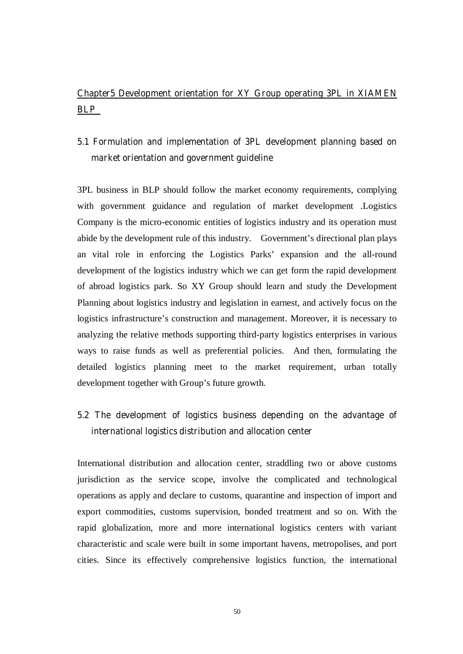### **Chapter5 Development orientation for XY Group operating 3PL in XIAMEN BLP**

### **5.1 Formulation and implementation of 3PL development planning based on market orientation and government guideline**

3PL business in BLP should follow the market economy requirements, complying with government guidance and regulation of market development .Logistics Company is the micro-economic entities of logistics industry and its operation must abide by the development rule of this industry. Government's directional plan plays an vital role in enforcing the Logistics Parks' expansion and the all-round development of the logistics industry which we can get form the rapid development of abroad logistics park. So XY Group should learn and study the Development Planning about logistics industry and legislation in earnest, and actively focus on the logistics infrastructure's construction and management. Moreover, it is necessary to analyzing the relative methods supporting third-party logistics enterprises in various ways to raise funds as well as preferential policies. And then, formulating the detailed logistics planning meet to the market requirement, urban totally development together with Group's future growth.

### **5.2 The development of logistics business depending on the advantage of international logistics distribution and allocation center**

International distribution and allocation center, straddling two or above customs jurisdiction as the service scope, involve the complicated and technological operations as apply and declare to customs, quarantine and inspection of import and export commodities, customs supervision, bonded treatment and so on. With the rapid globalization, more and more international logistics centers with variant characteristic and scale were built in some important havens, metropolises, and port cities. Since its effectively comprehensive logistics function, the international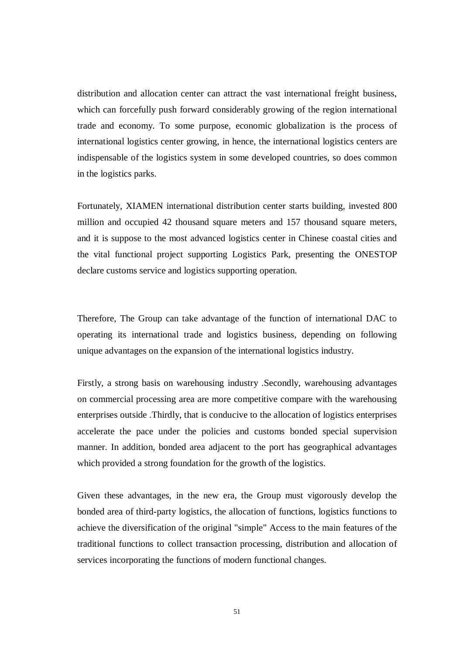distribution and allocation center can attract the vast international freight business, which can forcefully push forward considerably growing of the region international trade and economy. To some purpose, economic globalization is the process of international logistics center growing, in hence, the international logistics centers are indispensable of the logistics system in some developed countries, so does common in the logistics parks.

Fortunately, XIAMEN international distribution center starts building, invested 800 million and occupied 42 thousand square meters and 157 thousand square meters, and it is suppose to the most advanced logistics center in Chinese coastal cities and the vital functional project supporting Logistics Park, presenting the ONESTOP declare customs service and logistics supporting operation.

Therefore, The Group can take advantage of the function of international DAC to operating its international trade and logistics business, depending on following unique advantages on the expansion of the international logistics industry.

Firstly, a strong basis on warehousing industry .Secondly, warehousing advantages on commercial processing area are more competitive compare with the warehousing enterprises outside .Thirdly, that is conducive to the allocation of logistics enterprises accelerate the pace under the policies and customs bonded special supervision manner. In addition, bonded area adjacent to the port has geographical advantages which provided a strong foundation for the growth of the logistics.

Given these advantages, in the new era, the Group must vigorously develop the bonded area of third-party logistics, the allocation of functions, logistics functions to achieve the diversification of the original "simple" Access to the main features of the traditional functions to collect transaction processing, distribution and allocation of services incorporating the functions of modern functional changes.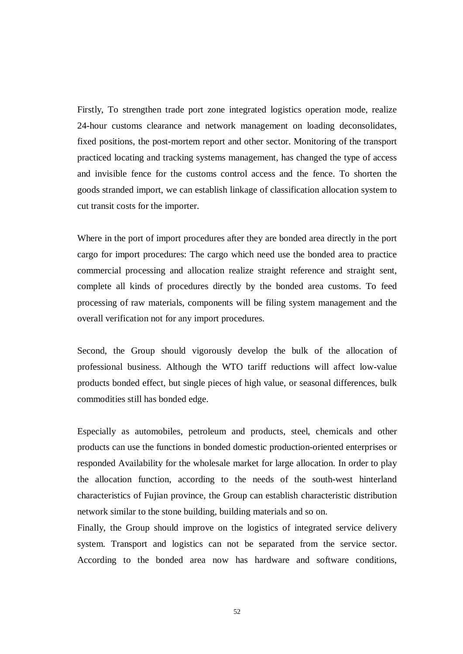Firstly, To strengthen trade port zone integrated logistics operation mode, realize 24-hour customs clearance and network management on loading deconsolidates, fixed positions, the post-mortem report and other sector. Monitoring of the transport practiced locating and tracking systems management, has changed the type of access and invisible fence for the customs control access and the fence. To shorten the goods stranded import, we can establish linkage of classification allocation system to cut transit costs for the importer.

Where in the port of import procedures after they are bonded area directly in the port cargo for import procedures: The cargo which need use the bonded area to practice commercial processing and allocation realize straight reference and straight sent, complete all kinds of procedures directly by the bonded area customs. To feed processing of raw materials, components will be filing system management and the overall verification not for any import procedures.

Second, the Group should vigorously develop the bulk of the allocation of professional business. Although the WTO tariff reductions will affect low-value products bonded effect, but single pieces of high value, or seasonal differences, bulk commodities still has bonded edge.

Especially as automobiles, petroleum and products, steel, chemicals and other products can use the functions in bonded domestic production-oriented enterprises or responded Availability for the wholesale market for large allocation. In order to play the allocation function, according to the needs of the south-west hinterland characteristics of Fujian province, the Group can establish characteristic distribution network similar to the stone building, building materials and so on.

Finally, the Group should improve on the logistics of integrated service delivery system. Transport and logistics can not be separated from the service sector. According to the bonded area now has hardware and software conditions,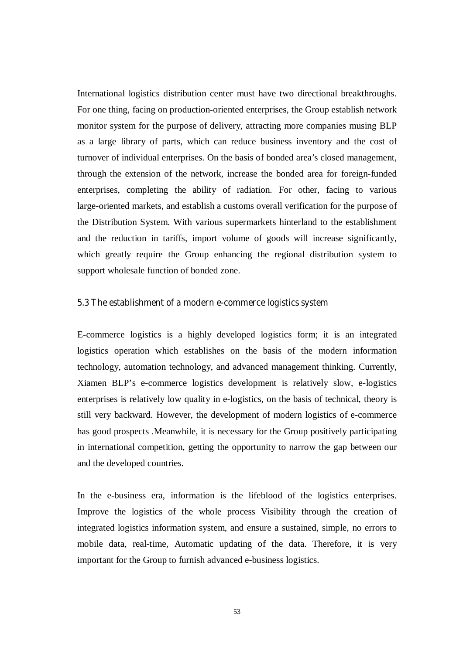International logistics distribution center must have two directional breakthroughs. For one thing, facing on production-oriented enterprises, the Group establish network monitor system for the purpose of delivery, attracting more companies musing BLP as a large library of parts, which can reduce business inventory and the cost of turnover of individual enterprises. On the basis of bonded area's closed management, through the extension of the network, increase the bonded area for foreign-funded enterprises, completing the ability of radiation. For other, facing to various large-oriented markets, and establish a customs overall verification for the purpose of the Distribution System. With various supermarkets hinterland to the establishment and the reduction in tariffs, import volume of goods will increase significantly, which greatly require the Group enhancing the regional distribution system to support wholesale function of bonded zone.

#### **5.3 The establishment of a modern e-commerce logistics system**

E-commerce logistics is a highly developed logistics form; it is an integrated logistics operation which establishes on the basis of the modern information technology, automation technology, and advanced management thinking. Currently, Xiamen BLP's e-commerce logistics development is relatively slow, e-logistics enterprises is relatively low quality in e-logistics, on the basis of technical, theory is still very backward. However, the development of modern logistics of e-commerce has good prospects .Meanwhile, it is necessary for the Group positively participating in international competition, getting the opportunity to narrow the gap between our and the developed countries.

In the e-business era, information is the lifeblood of the logistics enterprises. Improve the logistics of the whole process Visibility through the creation of integrated logistics information system, and ensure a sustained, simple, no errors to mobile data, real-time, Automatic updating of the data. Therefore, it is very important for the Group to furnish advanced e-business logistics.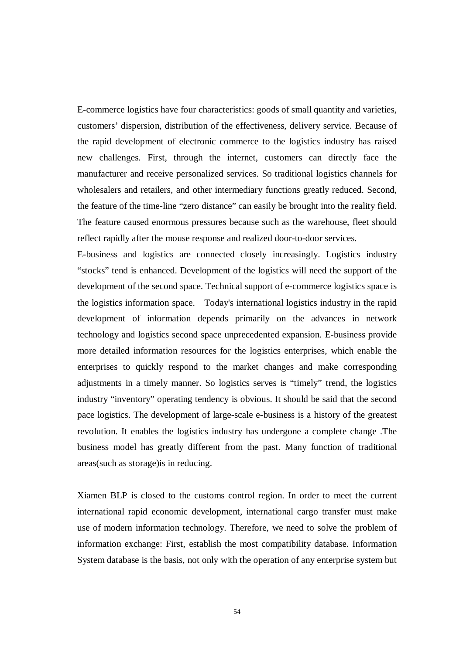E-commerce logistics have four characteristics: goods of small quantity and varieties, customers' dispersion, distribution of the effectiveness, delivery service. Because of the rapid development of electronic commerce to the logistics industry has raised new challenges. First, through the internet, customers can directly face the manufacturer and receive personalized services. So traditional logistics channels for wholesalers and retailers, and other intermediary functions greatly reduced. Second, the feature of the time-line "zero distance" can easily be brought into the reality field. The feature caused enormous pressures because such as the warehouse, fleet should reflect rapidly after the mouse response and realized door-to-door services.

E-business and logistics are connected closely increasingly. Logistics industry "stocks" tend is enhanced. Development of the logistics will need the support of the development of the second space. Technical support of e-commerce logistics space is the logistics information space. Today's international logistics industry in the rapid development of information depends primarily on the advances in network technology and logistics second space unprecedented expansion. E-business provide more detailed information resources for the logistics enterprises, which enable the enterprises to quickly respond to the market changes and make corresponding adjustments in a timely manner. So logistics serves is "timely" trend, the logistics industry "inventory" operating tendency is obvious. It should be said that the second pace logistics. The development of large-scale e-business is a history of the greatest revolution. It enables the logistics industry has undergone a complete change .The business model has greatly different from the past. Many function of traditional areas(such as storage)is in reducing.

Xiamen BLP is closed to the customs control region. In order to meet the current international rapid economic development, international cargo transfer must make use of modern information technology. Therefore, we need to solve the problem of information exchange: First, establish the most compatibility database. Information System database is the basis, not only with the operation of any enterprise system but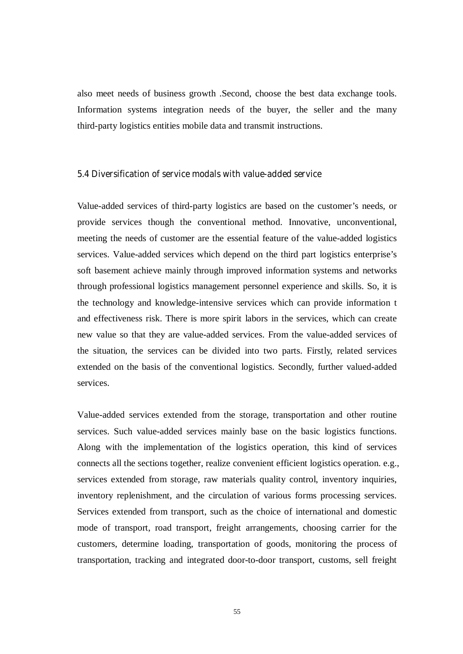also meet needs of business growth .Second, choose the best data exchange tools. Information systems integration needs of the buyer, the seller and the many third-party logistics entities mobile data and transmit instructions.

#### **5.4 Diversification of service modals with value-added service**

Value-added services of third-party logistics are based on the customer's needs, or provide services though the conventional method. Innovative, unconventional, meeting the needs of customer are the essential feature of the value-added logistics services. Value-added services which depend on the third part logistics enterprise's soft basement achieve mainly through improved information systems and networks through professional logistics management personnel experience and skills. So, it is the technology and knowledge-intensive services which can provide information t and effectiveness risk. There is more spirit labors in the services, which can create new value so that they are value-added services. From the value-added services of the situation, the services can be divided into two parts. Firstly, related services extended on the basis of the conventional logistics. Secondly, further valued-added services.

Value-added services extended from the storage, transportation and other routine services. Such value-added services mainly base on the basic logistics functions. Along with the implementation of the logistics operation, this kind of services connects all the sections together, realize convenient efficient logistics operation. e.g., services extended from storage, raw materials quality control, inventory inquiries, inventory replenishment, and the circulation of various forms processing services. Services extended from transport, such as the choice of international and domestic mode of transport, road transport, freight arrangements, choosing carrier for the customers, determine loading, transportation of goods, monitoring the process of transportation, tracking and integrated door-to-door transport, customs, sell freight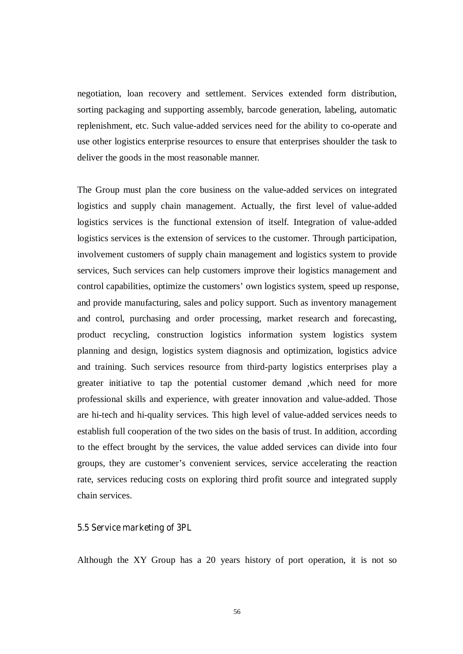negotiation, loan recovery and settlement. Services extended form distribution, sorting packaging and supporting assembly, barcode generation, labeling, automatic replenishment, etc. Such value-added services need for the ability to co-operate and use other logistics enterprise resources to ensure that enterprises shoulder the task to deliver the goods in the most reasonable manner.

The Group must plan the core business on the value-added services on integrated logistics and supply chain management. Actually, the first level of value-added logistics services is the functional extension of itself. Integration of value-added logistics services is the extension of services to the customer. Through participation, involvement customers of supply chain management and logistics system to provide services, Such services can help customers improve their logistics management and control capabilities, optimize the customers' own logistics system, speed up response, and provide manufacturing, sales and policy support. Such as inventory management and control, purchasing and order processing, market research and forecasting, product recycling, construction logistics information system logistics system planning and design, logistics system diagnosis and optimization, logistics advice and training. Such services resource from third-party logistics enterprises play a greater initiative to tap the potential customer demand ,which need for more professional skills and experience, with greater innovation and value-added. Those are hi-tech and hi-quality services. This high level of value-added services needs to establish full cooperation of the two sides on the basis of trust. In addition, according to the effect brought by the services, the value added services can divide into four groups, they are customer's convenient services, service accelerating the reaction rate, services reducing costs on exploring third profit source and integrated supply chain services.

#### **5.5 Service marketing of 3PL**

Although the XY Group has a 20 years history of port operation, it is not so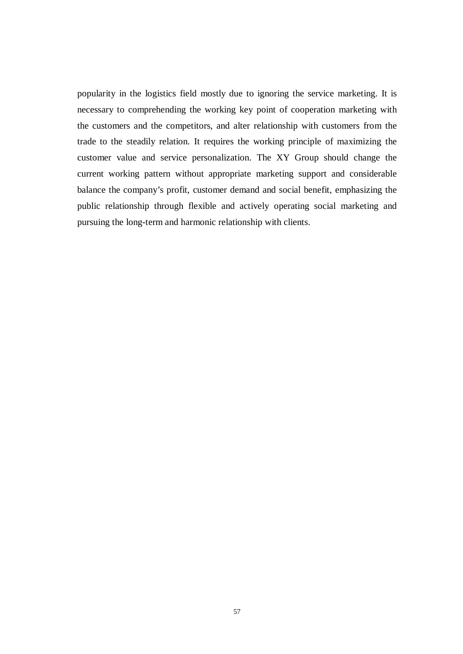popularity in the logistics field mostly due to ignoring the service marketing. It is necessary to comprehending the working key point of cooperation marketing with the customers and the competitors, and alter relationship with customers from the trade to the steadily relation. It requires the working principle of maximizing the customer value and service personalization. The XY Group should change the current working pattern without appropriate marketing support and considerable balance the company's profit, customer demand and social benefit, emphasizing the public relationship through flexible and actively operating social marketing and pursuing the long-term and harmonic relationship with clients.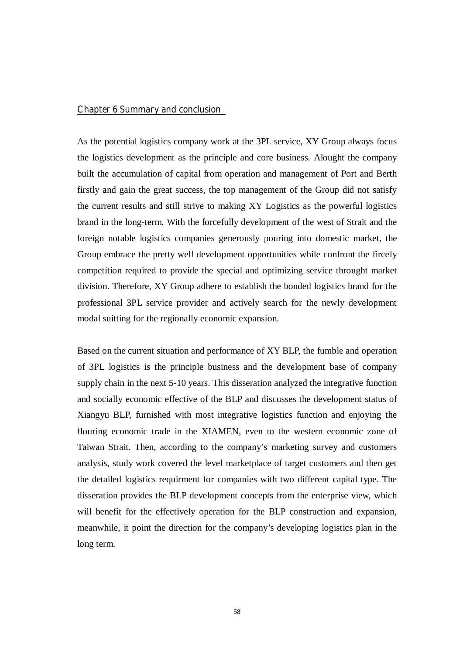#### **Chapter 6 Summary and conclusion**

As the potential logistics company work at the 3PL service, XY Group always focus the logistics development as the principle and core business. Alought the company built the accumulation of capital from operation and management of Port and Berth firstly and gain the great success, the top management of the Group did not satisfy the current results and still strive to making XY Logistics as the powerful logistics brand in the long-term. With the forcefully development of the west of Strait and the foreign notable logistics companies generously pouring into domestic market, the Group embrace the pretty well development opportunities while confront the fircely competition required to provide the special and optimizing service throught market division. Therefore, XY Group adhere to establish the bonded logistics brand for the professional 3PL service provider and actively search for the newly development modal suitting for the regionally economic expansion.

Based on the current situation and performance of XY BLP, the fumble and operation of 3PL logistics is the principle business and the development base of company supply chain in the next 5-10 years. This disseration analyzed the integrative function and socially economic effective of the BLP and discusses the development status of Xiangyu BLP, furnished with most integrative logistics function and enjoying the flouring economic trade in the XIAMEN, even to the western economic zone of Taiwan Strait. Then, according to the company's marketing survey and customers analysis, study work covered the level marketplace of target customers and then get the detailed logistics requirment for companies with two different capital type. The disseration provides the BLP development concepts from the enterprise view, which will benefit for the effectively operation for the BLP construction and expansion, meanwhile, it point the direction for the company's developing logistics plan in the long term.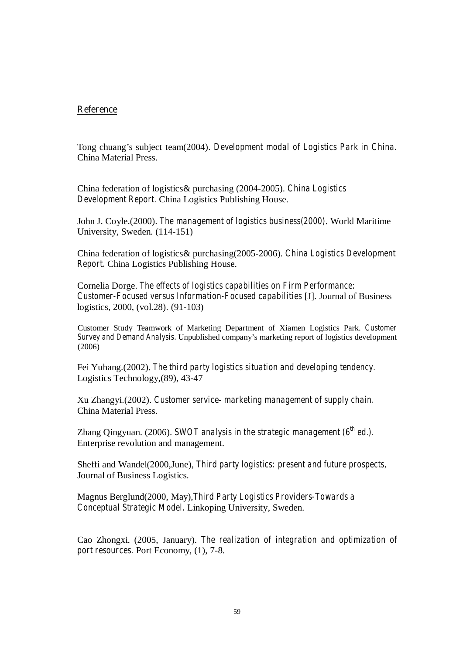#### **Reference**

Tong chuang's subject team(2004). *Development modal of Logistics Park in China.*  China Material Press.

China federation of logistics& purchasing (2004-2005). *China Logistics Development Report.* China Logistics Publishing House.

John J. Coyle.(2000). *The management of logistics business(2000)*. World Maritime University, Sweden. (114-151)

China federation of logistics& purchasing(2005-2006). *China Logistics Development Report.* China Logistics Publishing House.

Cornelia Dorge. *The effects of logistics capabilities on Firm Performance: Customer-Focused versus Information-Focused capabilities* [J]. Journal of Business logistics, 2000, (vol.28). (91-103)

Customer Study Teamwork of Marketing Department of Xiamen Logistics Park. *Customer Survey and Demand Analysis.* Unpublished company's marketing report of logistics development (2006)

Fei Yuhang.(2002). *The third party logistics situation and developing tendency.* Logistics Technology,(89), 43-47

Xu Zhangyi.(2002). *Customer service- marketing management of supply chain.* China Material Press.

Zhang Qingyuan. (2006). *SWOT analysis in the strategic management (6th ed.).* Enterprise revolution and management.

Sheffi and Wandel(2000,June), *Third party logistics: present and future prospects,* Journal of Business Logistics.

Magnus Berglund(2000, May),*Third Party Logistics Providers-Towards a Conceptual Strategic Model.* Linkoping University, Sweden.

Cao Zhongxi. (2005, January). *The realization of integration and optimization of port resources.* Port Economy, (1), 7-8.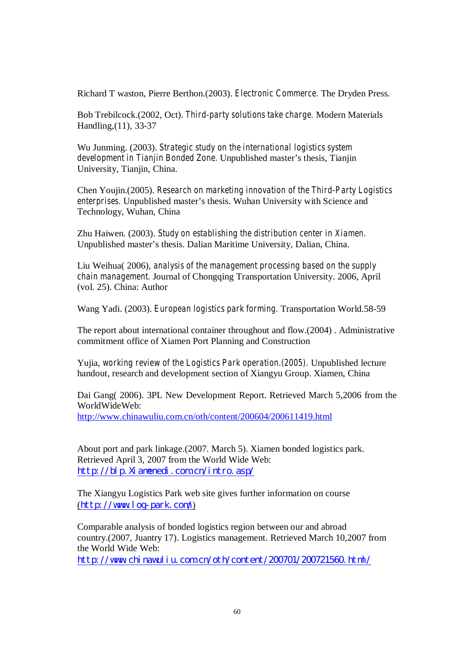Richard T waston, Pierre Berthon.(2003). *Electronic Commerce.* The Dryden Press.

Bob Trebilcock.(2002, Oct). *Third-party solutions take charge.* Modern Materials Handling,(11), 33-37

Wu Junming. (2003). *Strategic study on the international logistics system development in Tianjin Bonded Zone.* Unpublished master's thesis, Tianjin University, Tianjin, China.

Chen Youjin.(2005). *Research on marketing innovation of the Third-Party Logistics enterprises.* Unpublished master's thesis. Wuhan University with Science and Technology, Wuhan, China

Zhu Haiwen. (2003). *Study on establishing the distribution center in Xiamen.*  Unpublished master's thesis. Dalian Maritime University, Dalian, China.

Liu Weihua( 2006), *analysis of the management processing based on the supply chain management.* Journal of Chongqing Transportation University. 2006, April (vol. 25). China: Author

Wang Yadi. (2003). *European logistics park forming.* Transportation World.58-59

The report about international container throughout and flow.(2004) . Administrative commitment office of Xiamen Port Planning and Construction

Yujia, *working review of the Logistics Park operation.(2005).* Unpublished lecture handout, research and development section of Xiangyu Group. Xiamen, China

Dai Gang( 2006). 3PL New Development Report. Retrieved March 5,2006 from the WorldWideWeb: http://www.chinawuliu.com.cn/oth/content/200604/200611419.html

About port and park linkage.(2007. March 5). Xiamen bonded logistics park. Retrieved April 3, 2007 from the World Wide Web: http://blp.Xiamenedi.com.cn/intro.asp/

The Xiangyu Logistics Park web site gives further information on course (http://www.log-park.com/)

Comparable analysis of bonded logistics region between our and abroad country.(2007, Juantry 17). Logistics management. Retrieved March 10,2007 from the World Wide Web:

http://www.chinavuliu.com.cn/oth/content/200701/200721560.html/